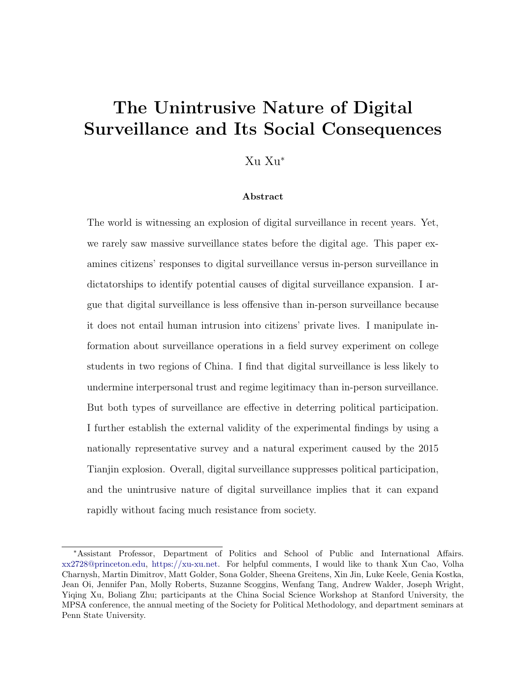# The Unintrusive Nature of Digital Surveillance and Its Social Consequences

## Xu Xu<sup>∗</sup>

### Abstract

The world is witnessing an explosion of digital surveillance in recent years. Yet, we rarely saw massive surveillance states before the digital age. This paper examines citizens' responses to digital surveillance versus in-person surveillance in dictatorships to identify potential causes of digital surveillance expansion. I argue that digital surveillance is less offensive than in-person surveillance because it does not entail human intrusion into citizens' private lives. I manipulate information about surveillance operations in a field survey experiment on college students in two regions of China. I find that digital surveillance is less likely to undermine interpersonal trust and regime legitimacy than in-person surveillance. But both types of surveillance are effective in deterring political participation. I further establish the external validity of the experimental findings by using a nationally representative survey and a natural experiment caused by the 2015 Tianjin explosion. Overall, digital surveillance suppresses political participation, and the unintrusive nature of digital surveillance implies that it can expand rapidly without facing much resistance from society.

<sup>∗</sup>Assistant Professor, Department of Politics and School of Public and International Affairs. [xx2728@princeton.edu,](mailto:xx2728@princeton.edu) [https://xu-xu.net.](https://xu-xu.net) For helpful comments, I would like to thank Xun Cao, Volha Charnysh, Martin Dimitrov, Matt Golder, Sona Golder, Sheena Greitens, Xin Jin, Luke Keele, Genia Kostka, Jean Oi, Jennifer Pan, Molly Roberts, Suzanne Scoggins, Wenfang Tang, Andrew Walder, Joseph Wright, Yiqing Xu, Boliang Zhu; participants at the China Social Science Workshop at Stanford University, the MPSA conference, the annual meeting of the Society for Political Methodology, and department seminars at Penn State University.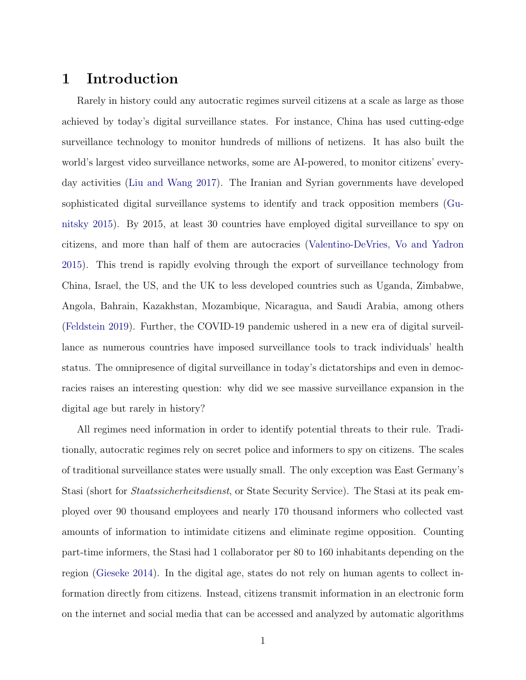# 1 Introduction

Rarely in history could any autocratic regimes surveil citizens at a scale as large as those achieved by today's digital surveillance states. For instance, China has used cutting-edge surveillance technology to monitor hundreds of millions of netizens. It has also built the world's largest video surveillance networks, some are AI-powered, to monitor citizens' everyday activities [\(Liu and Wang](#page-40-0) [2017\)](#page-40-0). The Iranian and Syrian governments have developed sophisticated digital surveillance systems to identify and track opposition members [\(Gu](#page-38-0)[nitsky](#page-38-0) [2015\)](#page-38-0). By 2015, at least 30 countries have employed digital surveillance to spy on citizens, and more than half of them are autocracies [\(Valentino-DeVries, Vo and Yadron](#page-41-0) [2015\)](#page-41-0). This trend is rapidly evolving through the export of surveillance technology from China, Israel, the US, and the UK to less developed countries such as Uganda, Zimbabwe, Angola, Bahrain, Kazakhstan, Mozambique, Nicaragua, and Saudi Arabia, among others [\(Feldstein](#page-38-1) [2019\)](#page-38-1). Further, the COVID-19 pandemic ushered in a new era of digital surveillance as numerous countries have imposed surveillance tools to track individuals' health status. The omnipresence of digital surveillance in today's dictatorships and even in democracies raises an interesting question: why did we see massive surveillance expansion in the digital age but rarely in history?

All regimes need information in order to identify potential threats to their rule. Traditionally, autocratic regimes rely on secret police and informers to spy on citizens. The scales of traditional surveillance states were usually small. The only exception was East Germany's Stasi (short for Staatssicherheitsdienst, or State Security Service). The Stasi at its peak employed over 90 thousand employees and nearly 170 thousand informers who collected vast amounts of information to intimidate citizens and eliminate regime opposition. Counting part-time informers, the Stasi had 1 collaborator per 80 to 160 inhabitants depending on the region [\(Gieseke](#page-38-2) [2014\)](#page-38-2). In the digital age, states do not rely on human agents to collect information directly from citizens. Instead, citizens transmit information in an electronic form on the internet and social media that can be accessed and analyzed by automatic algorithms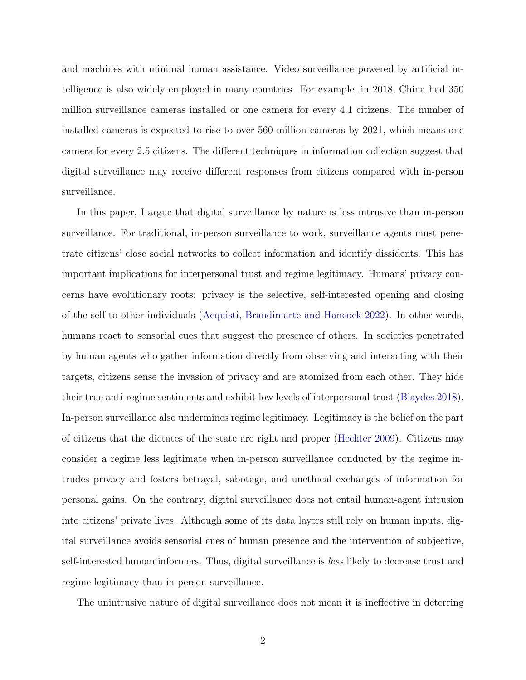and machines with minimal human assistance. Video surveillance powered by artificial intelligence is also widely employed in many countries. For example, in 2018, China had 350 million surveillance cameras installed or one camera for every 4.1 citizens. The number of installed cameras is expected to rise to over 560 million cameras by 2021, which means one camera for every 2.5 citizens. The different techniques in information collection suggest that digital surveillance may receive different responses from citizens compared with in-person surveillance.

In this paper, I argue that digital surveillance by nature is less intrusive than in-person surveillance. For traditional, in-person surveillance to work, surveillance agents must penetrate citizens' close social networks to collect information and identify dissidents. This has important implications for interpersonal trust and regime legitimacy. Humans' privacy concerns have evolutionary roots: privacy is the selective, self-interested opening and closing of the self to other individuals [\(Acquisti, Brandimarte and Hancock](#page-37-0) [2022\)](#page-37-0). In other words, humans react to sensorial cues that suggest the presence of others. In societies penetrated by human agents who gather information directly from observing and interacting with their targets, citizens sense the invasion of privacy and are atomized from each other. They hide their true anti-regime sentiments and exhibit low levels of interpersonal trust [\(Blaydes](#page-37-1) [2018\)](#page-37-1). In-person surveillance also undermines regime legitimacy. Legitimacy is the belief on the part of citizens that the dictates of the state are right and proper [\(Hechter](#page-39-0) [2009\)](#page-39-0). Citizens may consider a regime less legitimate when in-person surveillance conducted by the regime intrudes privacy and fosters betrayal, sabotage, and unethical exchanges of information for personal gains. On the contrary, digital surveillance does not entail human-agent intrusion into citizens' private lives. Although some of its data layers still rely on human inputs, digital surveillance avoids sensorial cues of human presence and the intervention of subjective, self-interested human informers. Thus, digital surveillance is less likely to decrease trust and regime legitimacy than in-person surveillance.

The unintrusive nature of digital surveillance does not mean it is ineffective in deterring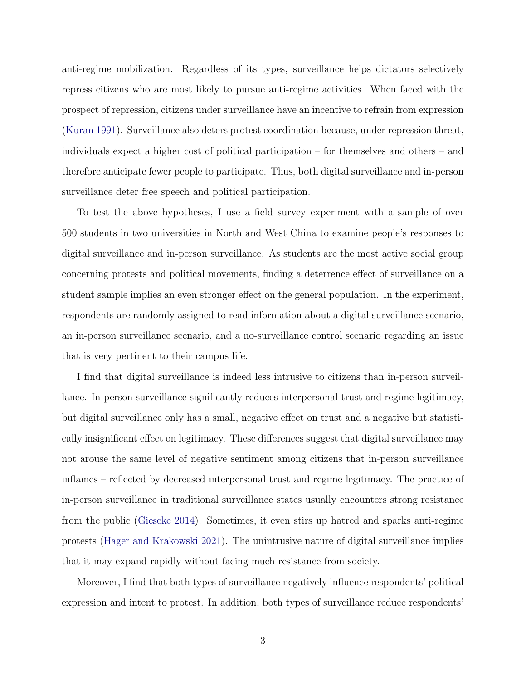anti-regime mobilization. Regardless of its types, surveillance helps dictators selectively repress citizens who are most likely to pursue anti-regime activities. When faced with the prospect of repression, citizens under surveillance have an incentive to refrain from expression [\(Kuran](#page-39-1) [1991\)](#page-39-1). Surveillance also deters protest coordination because, under repression threat, individuals expect a higher cost of political participation – for themselves and others – and therefore anticipate fewer people to participate. Thus, both digital surveillance and in-person surveillance deter free speech and political participation.

To test the above hypotheses, I use a field survey experiment with a sample of over 500 students in two universities in North and West China to examine people's responses to digital surveillance and in-person surveillance. As students are the most active social group concerning protests and political movements, finding a deterrence effect of surveillance on a student sample implies an even stronger effect on the general population. In the experiment, respondents are randomly assigned to read information about a digital surveillance scenario, an in-person surveillance scenario, and a no-surveillance control scenario regarding an issue that is very pertinent to their campus life.

I find that digital surveillance is indeed less intrusive to citizens than in-person surveillance. In-person surveillance significantly reduces interpersonal trust and regime legitimacy, but digital surveillance only has a small, negative effect on trust and a negative but statistically insignificant effect on legitimacy. These differences suggest that digital surveillance may not arouse the same level of negative sentiment among citizens that in-person surveillance inflames – reflected by decreased interpersonal trust and regime legitimacy. The practice of in-person surveillance in traditional surveillance states usually encounters strong resistance from the public [\(Gieseke](#page-38-2) [2014\)](#page-38-2). Sometimes, it even stirs up hatred and sparks anti-regime protests [\(Hager and Krakowski](#page-38-3) [2021\)](#page-38-3). The unintrusive nature of digital surveillance implies that it may expand rapidly without facing much resistance from society.

Moreover, I find that both types of surveillance negatively influence respondents' political expression and intent to protest. In addition, both types of surveillance reduce respondents'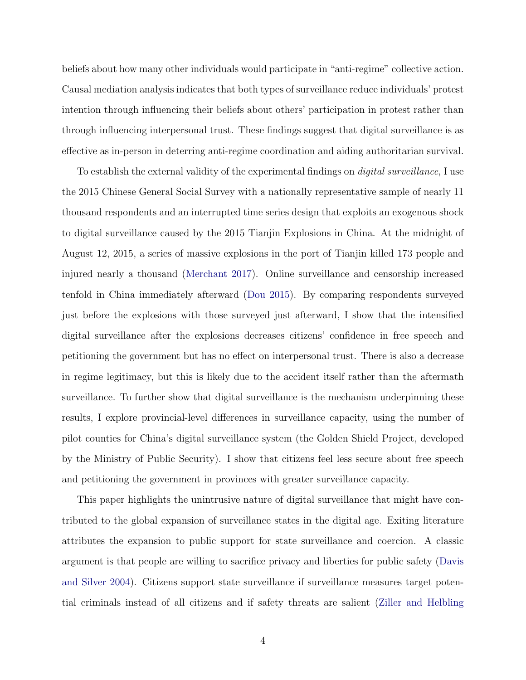beliefs about how many other individuals would participate in "anti-regime" collective action. Causal mediation analysis indicates that both types of surveillance reduce individuals' protest intention through influencing their beliefs about others' participation in protest rather than through influencing interpersonal trust. These findings suggest that digital surveillance is as effective as in-person in deterring anti-regime coordination and aiding authoritarian survival.

To establish the external validity of the experimental findings on *digital surveillance*, I use the 2015 Chinese General Social Survey with a nationally representative sample of nearly 11 thousand respondents and an interrupted time series design that exploits an exogenous shock to digital surveillance caused by the 2015 Tianjin Explosions in China. At the midnight of August 12, 2015, a series of massive explosions in the port of Tianjin killed 173 people and injured nearly a thousand [\(Merchant](#page-40-1) [2017\)](#page-40-1). Online surveillance and censorship increased tenfold in China immediately afterward [\(Dou](#page-38-4) [2015\)](#page-38-4). By comparing respondents surveyed just before the explosions with those surveyed just afterward, I show that the intensified digital surveillance after the explosions decreases citizens' confidence in free speech and petitioning the government but has no effect on interpersonal trust. There is also a decrease in regime legitimacy, but this is likely due to the accident itself rather than the aftermath surveillance. To further show that digital surveillance is the mechanism underpinning these results, I explore provincial-level differences in surveillance capacity, using the number of pilot counties for China's digital surveillance system (the Golden Shield Project, developed by the Ministry of Public Security). I show that citizens feel less secure about free speech and petitioning the government in provinces with greater surveillance capacity.

This paper highlights the unintrusive nature of digital surveillance that might have contributed to the global expansion of surveillance states in the digital age. Exiting literature attributes the expansion to public support for state surveillance and coercion. A classic argument is that people are willing to sacrifice privacy and liberties for public safety [\(Davis](#page-37-2) [and Silver](#page-37-2) [2004\)](#page-37-2). Citizens support state surveillance if surveillance measures target potential criminals instead of all citizens and if safety threats are salient [\(Ziller and Helbling](#page-42-0)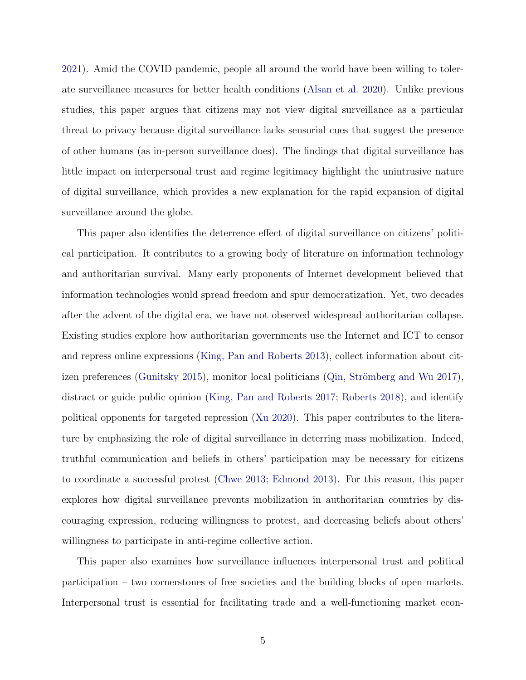[2021\)](#page-42-0). Amid the COVID pandemic, people all around the world have been willing to tolerate surveillance measures for better health conditions [\(Alsan et al.](#page-37-3) [2020\)](#page-37-3). Unlike previous studies, this paper argues that citizens may not view digital surveillance as a particular threat to privacy because digital surveillance lacks sensorial cues that suggest the presence of other humans (as in-person surveillance does). The findings that digital surveillance has little impact on interpersonal trust and regime legitimacy highlight the unintrusive nature of digital surveillance, which provides a new explanation for the rapid expansion of digital surveillance around the globe.

This paper also identifies the deterrence effect of digital surveillance on citizens' political participation. It contributes to a growing body of literature on information technology and authoritarian survival. Many early proponents of Internet development believed that information technologies would spread freedom and spur democratization. Yet, two decades after the advent of the digital era, we have not observed widespread authoritarian collapse. Existing studies explore how authoritarian governments use the Internet and ICT to censor and repress online expressions [\(King, Pan and Roberts](#page-39-2) [2013\)](#page-39-2), collect information about cit-izen preferences [\(Gunitsky](#page-38-0) [2015\)](#page-38-0), monitor local politicians (Qin, Strömberg and Wu [2017\)](#page-41-1), distract or guide public opinion [\(King, Pan and Roberts](#page-39-3) [2017;](#page-39-3) [Roberts](#page-41-2) [2018\)](#page-41-2), and identify political opponents for targeted repression [\(Xu](#page-41-3) [2020\)](#page-41-3). This paper contributes to the literature by emphasizing the role of digital surveillance in deterring mass mobilization. Indeed, truthful communication and beliefs in others' participation may be necessary for citizens to coordinate a successful protest [\(Chwe](#page-37-4) [2013;](#page-37-4) [Edmond](#page-38-5) [2013\)](#page-38-5). For this reason, this paper explores how digital surveillance prevents mobilization in authoritarian countries by discouraging expression, reducing willingness to protest, and decreasing beliefs about others' willingness to participate in anti-regime collective action.

This paper also examines how surveillance influences interpersonal trust and political participation – two cornerstones of free societies and the building blocks of open markets. Interpersonal trust is essential for facilitating trade and a well-functioning market econ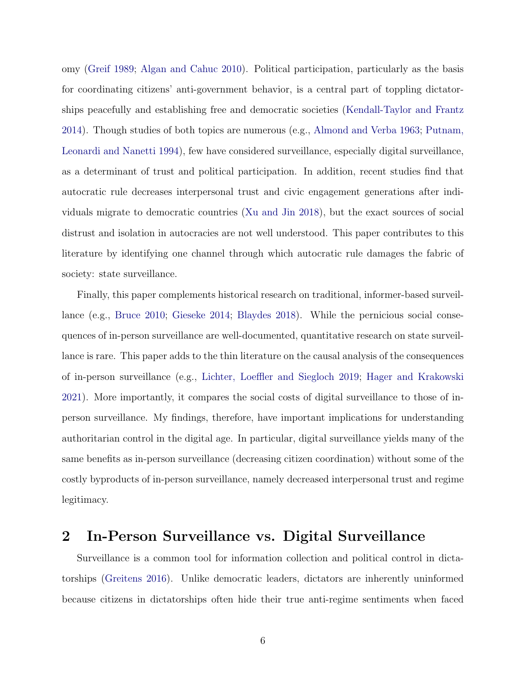omy [\(Greif](#page-38-6) [1989;](#page-38-6) [Algan and Cahuc](#page-37-5) [2010\)](#page-37-5). Political participation, particularly as the basis for coordinating citizens' anti-government behavior, is a central part of toppling dictatorships peacefully and establishing free and democratic societies [\(Kendall-Taylor and Frantz](#page-39-4) [2014\)](#page-39-4). Though studies of both topics are numerous (e.g., [Almond and Verba](#page-37-6) [1963;](#page-37-6) [Putnam,](#page-41-4) [Leonardi and Nanetti](#page-41-4) [1994\)](#page-41-4), few have considered surveillance, especially digital surveillance, as a determinant of trust and political participation. In addition, recent studies find that autocratic rule decreases interpersonal trust and civic engagement generations after individuals migrate to democratic countries [\(Xu and Jin](#page-42-1) [2018\)](#page-42-1), but the exact sources of social distrust and isolation in autocracies are not well understood. This paper contributes to this literature by identifying one channel through which autocratic rule damages the fabric of society: state surveillance.

Finally, this paper complements historical research on traditional, informer-based surveillance (e.g., [Bruce](#page-37-7) [2010;](#page-37-7) [Gieseke](#page-38-2) [2014;](#page-38-2) [Blaydes](#page-37-1) [2018\)](#page-37-1). While the pernicious social consequences of in-person surveillance are well-documented, quantitative research on state surveillance is rare. This paper adds to the thin literature on the causal analysis of the consequences of in-person surveillance (e.g., [Lichter, Loeffler and Siegloch](#page-40-2) [2019;](#page-40-2) [Hager and Krakowski](#page-38-3) [2021\)](#page-38-3). More importantly, it compares the social costs of digital surveillance to those of inperson surveillance. My findings, therefore, have important implications for understanding authoritarian control in the digital age. In particular, digital surveillance yields many of the same benefits as in-person surveillance (decreasing citizen coordination) without some of the costly byproducts of in-person surveillance, namely decreased interpersonal trust and regime legitimacy.

# 2 In-Person Surveillance vs. Digital Surveillance

Surveillance is a common tool for information collection and political control in dictatorships [\(Greitens](#page-38-7) [2016\)](#page-38-7). Unlike democratic leaders, dictators are inherently uninformed because citizens in dictatorships often hide their true anti-regime sentiments when faced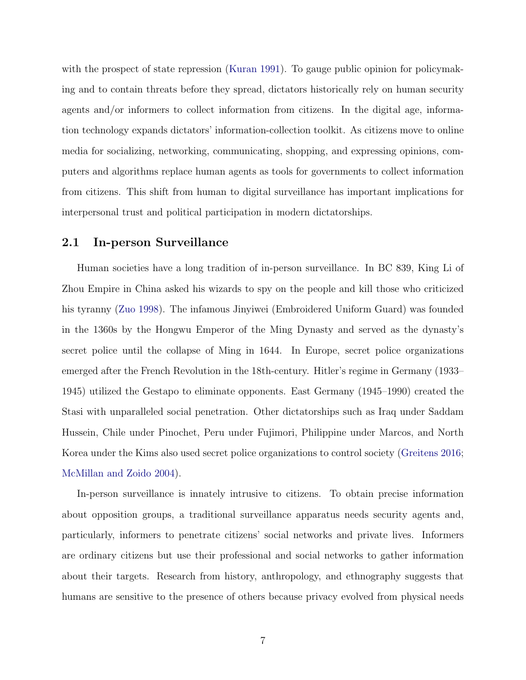with the prospect of state repression [\(Kuran](#page-39-1) [1991\)](#page-39-1). To gauge public opinion for policymaking and to contain threats before they spread, dictators historically rely on human security agents and/or informers to collect information from citizens. In the digital age, information technology expands dictators' information-collection toolkit. As citizens move to online media for socializing, networking, communicating, shopping, and expressing opinions, computers and algorithms replace human agents as tools for governments to collect information from citizens. This shift from human to digital surveillance has important implications for interpersonal trust and political participation in modern dictatorships.

## 2.1 In-person Surveillance

Human societies have a long tradition of in-person surveillance. In BC 839, King Li of Zhou Empire in China asked his wizards to spy on the people and kill those who criticized his tyranny [\(Zuo](#page-42-2) [1998\)](#page-42-2). The infamous Jinyiwei (Embroidered Uniform Guard) was founded in the 1360s by the Hongwu Emperor of the Ming Dynasty and served as the dynasty's secret police until the collapse of Ming in 1644. In Europe, secret police organizations emerged after the French Revolution in the 18th-century. Hitler's regime in Germany (1933– 1945) utilized the Gestapo to eliminate opponents. East Germany (1945–1990) created the Stasi with unparalleled social penetration. Other dictatorships such as Iraq under Saddam Hussein, Chile under Pinochet, Peru under Fujimori, Philippine under Marcos, and North Korea under the Kims also used secret police organizations to control society [\(Greitens](#page-38-7) [2016;](#page-38-7) [McMillan and Zoido](#page-40-3) [2004\)](#page-40-3).

In-person surveillance is innately intrusive to citizens. To obtain precise information about opposition groups, a traditional surveillance apparatus needs security agents and, particularly, informers to penetrate citizens' social networks and private lives. Informers are ordinary citizens but use their professional and social networks to gather information about their targets. Research from history, anthropology, and ethnography suggests that humans are sensitive to the presence of others because privacy evolved from physical needs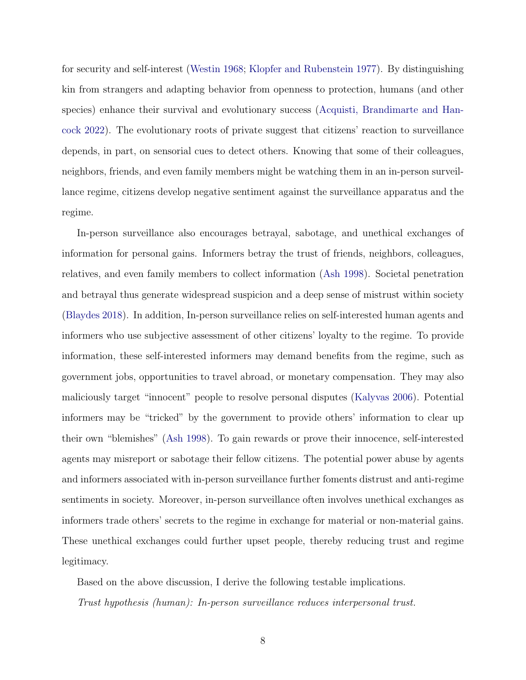for security and self-interest [\(Westin](#page-41-5) [1968;](#page-41-5) [Klopfer and Rubenstein](#page-39-5) [1977\)](#page-39-5). By distinguishing kin from strangers and adapting behavior from openness to protection, humans (and other species) enhance their survival and evolutionary success [\(Acquisti, Brandimarte and Han](#page-37-0)[cock](#page-37-0) [2022\)](#page-37-0). The evolutionary roots of private suggest that citizens' reaction to surveillance depends, in part, on sensorial cues to detect others. Knowing that some of their colleagues, neighbors, friends, and even family members might be watching them in an in-person surveillance regime, citizens develop negative sentiment against the surveillance apparatus and the regime.

In-person surveillance also encourages betrayal, sabotage, and unethical exchanges of information for personal gains. Informers betray the trust of friends, neighbors, colleagues, relatives, and even family members to collect information [\(Ash](#page-37-8) [1998\)](#page-37-8). Societal penetration and betrayal thus generate widespread suspicion and a deep sense of mistrust within society [\(Blaydes](#page-37-1) [2018\)](#page-37-1). In addition, In-person surveillance relies on self-interested human agents and informers who use subjective assessment of other citizens' loyalty to the regime. To provide information, these self-interested informers may demand benefits from the regime, such as government jobs, opportunities to travel abroad, or monetary compensation. They may also maliciously target "innocent" people to resolve personal disputes [\(Kalyvas](#page-39-6) [2006\)](#page-39-6). Potential informers may be "tricked" by the government to provide others' information to clear up their own "blemishes" [\(Ash](#page-37-8) [1998\)](#page-37-8). To gain rewards or prove their innocence, self-interested agents may misreport or sabotage their fellow citizens. The potential power abuse by agents and informers associated with in-person surveillance further foments distrust and anti-regime sentiments in society. Moreover, in-person surveillance often involves unethical exchanges as informers trade others' secrets to the regime in exchange for material or non-material gains. These unethical exchanges could further upset people, thereby reducing trust and regime legitimacy.

Based on the above discussion, I derive the following testable implications. Trust hypothesis (human): In-person surveillance reduces interpersonal trust.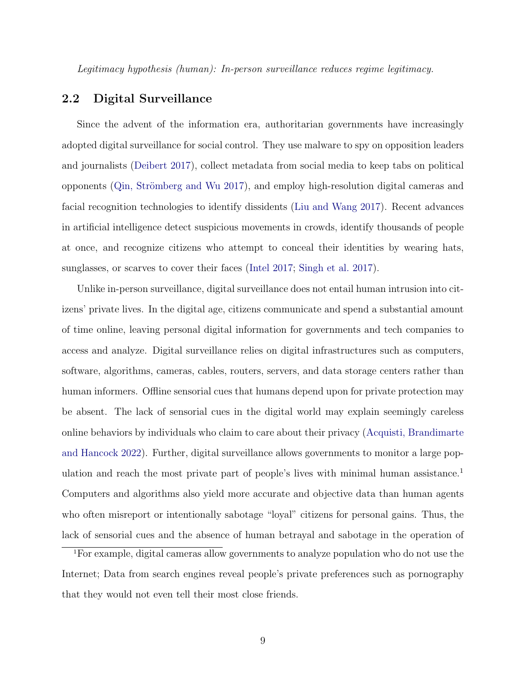Legitimacy hypothesis (human): In-person surveillance reduces regime legitimacy.

## 2.2 Digital Surveillance

Since the advent of the information era, authoritarian governments have increasingly adopted digital surveillance for social control. They use malware to spy on opposition leaders and journalists [\(Deibert](#page-38-8) [2017\)](#page-38-8), collect metadata from social media to keep tabs on political opponents (Qin, Strömberg and Wu [2017\)](#page-41-1), and employ high-resolution digital cameras and facial recognition technologies to identify dissidents [\(Liu and Wang](#page-40-0) [2017\)](#page-40-0). Recent advances in artificial intelligence detect suspicious movements in crowds, identify thousands of people at once, and recognize citizens who attempt to conceal their identities by wearing hats, sunglasses, or scarves to cover their faces [\(Intel](#page-39-7) [2017;](#page-39-7) [Singh et al.](#page-41-6) [2017\)](#page-41-6).

Unlike in-person surveillance, digital surveillance does not entail human intrusion into citizens' private lives. In the digital age, citizens communicate and spend a substantial amount of time online, leaving personal digital information for governments and tech companies to access and analyze. Digital surveillance relies on digital infrastructures such as computers, software, algorithms, cameras, cables, routers, servers, and data storage centers rather than human informers. Offline sensorial cues that humans depend upon for private protection may be absent. The lack of sensorial cues in the digital world may explain seemingly careless online behaviors by individuals who claim to care about their privacy [\(Acquisti, Brandimarte](#page-37-0) [and Hancock](#page-37-0) [2022\)](#page-37-0). Further, digital surveillance allows governments to monitor a large pop-ulation and reach the most private part of people's lives with minimal human assistance.<sup>[1](#page-9-0)</sup> Computers and algorithms also yield more accurate and objective data than human agents who often misreport or intentionally sabotage "loyal" citizens for personal gains. Thus, the lack of sensorial cues and the absence of human betrayal and sabotage in the operation of

<span id="page-9-0"></span><sup>1</sup>For example, digital cameras allow governments to analyze population who do not use the Internet; Data from search engines reveal people's private preferences such as pornography that they would not even tell their most close friends.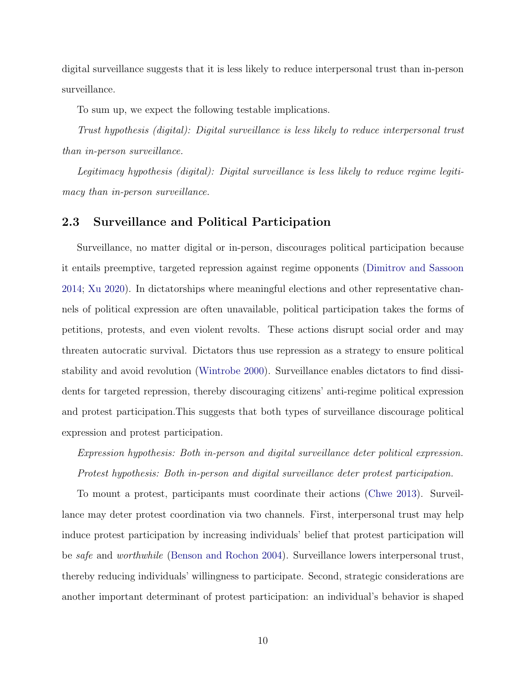digital surveillance suggests that it is less likely to reduce interpersonal trust than in-person surveillance.

To sum up, we expect the following testable implications.

Trust hypothesis (digital): Digital surveillance is less likely to reduce interpersonal trust than in-person surveillance.

Legitimacy hypothesis (digital): Digital surveillance is less likely to reduce regime legitimacy than in-person surveillance.

## 2.3 Surveillance and Political Participation

Surveillance, no matter digital or in-person, discourages political participation because it entails preemptive, targeted repression against regime opponents [\(Dimitrov and Sassoon](#page-38-9) [2014;](#page-38-9) [Xu](#page-41-3) [2020\)](#page-41-3). In dictatorships where meaningful elections and other representative channels of political expression are often unavailable, political participation takes the forms of petitions, protests, and even violent revolts. These actions disrupt social order and may threaten autocratic survival. Dictators thus use repression as a strategy to ensure political stability and avoid revolution [\(Wintrobe](#page-41-7) [2000\)](#page-41-7). Surveillance enables dictators to find dissidents for targeted repression, thereby discouraging citizens' anti-regime political expression and protest participation.This suggests that both types of surveillance discourage political expression and protest participation.

Expression hypothesis: Both in-person and digital surveillance deter political expression. Protest hypothesis: Both in-person and digital surveillance deter protest participation.

To mount a protest, participants must coordinate their actions [\(Chwe](#page-37-4) [2013\)](#page-37-4). Surveillance may deter protest coordination via two channels. First, interpersonal trust may help induce protest participation by increasing individuals' belief that protest participation will be safe and worthwhile [\(Benson and Rochon](#page-37-9) [2004\)](#page-37-9). Surveillance lowers interpersonal trust, thereby reducing individuals' willingness to participate. Second, strategic considerations are another important determinant of protest participation: an individual's behavior is shaped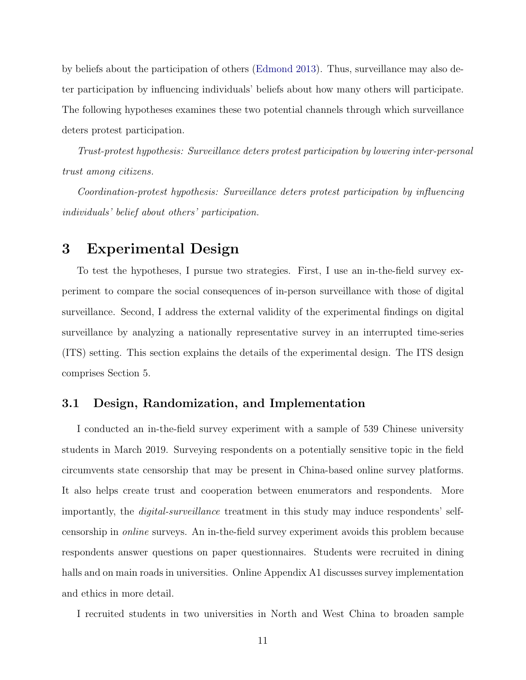by beliefs about the participation of others [\(Edmond](#page-38-5) [2013\)](#page-38-5). Thus, surveillance may also deter participation by influencing individuals' beliefs about how many others will participate. The following hypotheses examines these two potential channels through which surveillance deters protest participation.

Trust-protest hypothesis: Surveillance deters protest participation by lowering inter-personal trust among citizens.

Coordination-protest hypothesis: Surveillance deters protest participation by influencing individuals' belief about others' participation.

# 3 Experimental Design

To test the hypotheses, I pursue two strategies. First, I use an in-the-field survey experiment to compare the social consequences of in-person surveillance with those of digital surveillance. Second, I address the external validity of the experimental findings on digital surveillance by analyzing a nationally representative survey in an interrupted time-series (ITS) setting. This section explains the details of the experimental design. The ITS design comprises Section 5.

## 3.1 Design, Randomization, and Implementation

I conducted an in-the-field survey experiment with a sample of 539 Chinese university students in March 2019. Surveying respondents on a potentially sensitive topic in the field circumvents state censorship that may be present in China-based online survey platforms. It also helps create trust and cooperation between enumerators and respondents. More importantly, the digital-surveillance treatment in this study may induce respondents' selfcensorship in online surveys. An in-the-field survey experiment avoids this problem because respondents answer questions on paper questionnaires. Students were recruited in dining halls and on main roads in universities. Online Appendix A1 discusses survey implementation and ethics in more detail.

I recruited students in two universities in North and West China to broaden sample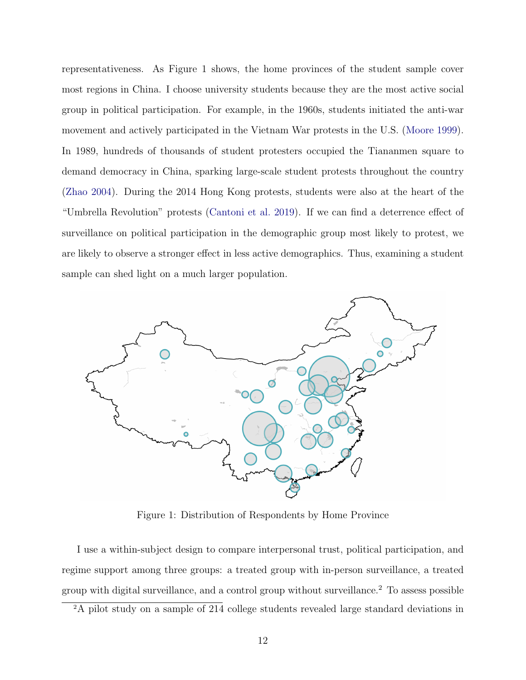representativeness. As Figure 1 shows, the home provinces of the student sample cover most regions in China. I choose university students because they are the most active social group in political participation. For example, in the 1960s, students initiated the anti-war movement and actively participated in the Vietnam War protests in the U.S. [\(Moore](#page-40-4) [1999\)](#page-40-4). In 1989, hundreds of thousands of student protesters occupied the Tiananmen square to demand democracy in China, sparking large-scale student protests throughout the country [\(Zhao](#page-42-3) [2004\)](#page-42-3). During the 2014 Hong Kong protests, students were also at the heart of the "Umbrella Revolution" protests [\(Cantoni et al.](#page-37-10) [2019\)](#page-37-10). If we can find a deterrence effect of surveillance on political participation in the demographic group most likely to protest, we are likely to observe a stronger effect in less active demographics. Thus, examining a student sample can shed light on a much larger population.



Figure 1: Distribution of Respondents by Home Province

I use a within-subject design to compare interpersonal trust, political participation, and regime support among three groups: a treated group with in-person surveillance, a treated group with digital surveillance, and a control group without surveillance.[2](#page-12-0) To assess possible

<span id="page-12-0"></span><sup>2</sup>A pilot study on a sample of 214 college students revealed large standard deviations in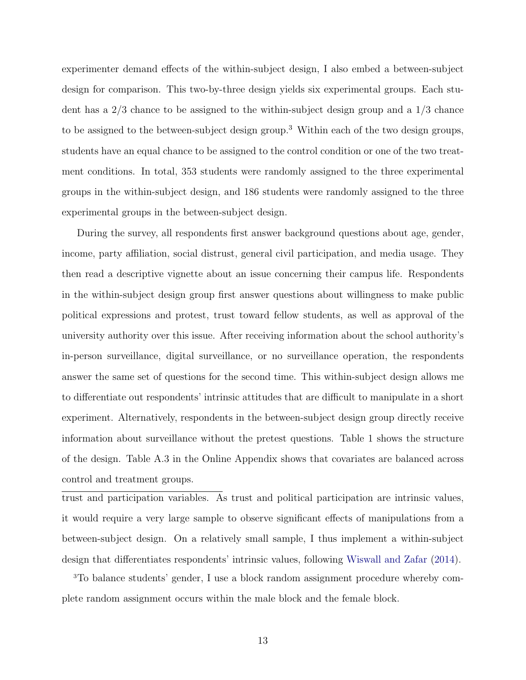experimenter demand effects of the within-subject design, I also embed a between-subject design for comparison. This two-by-three design yields six experimental groups. Each student has a 2/3 chance to be assigned to the within-subject design group and a 1/3 chance to be assigned to the between-subject design group.[3](#page-13-0) Within each of the two design groups, students have an equal chance to be assigned to the control condition or one of the two treatment conditions. In total, 353 students were randomly assigned to the three experimental groups in the within-subject design, and 186 students were randomly assigned to the three experimental groups in the between-subject design.

During the survey, all respondents first answer background questions about age, gender, income, party affiliation, social distrust, general civil participation, and media usage. They then read a descriptive vignette about an issue concerning their campus life. Respondents in the within-subject design group first answer questions about willingness to make public political expressions and protest, trust toward fellow students, as well as approval of the university authority over this issue. After receiving information about the school authority's in-person surveillance, digital surveillance, or no surveillance operation, the respondents answer the same set of questions for the second time. This within-subject design allows me to differentiate out respondents' intrinsic attitudes that are difficult to manipulate in a short experiment. Alternatively, respondents in the between-subject design group directly receive information about surveillance without the pretest questions. Table 1 shows the structure of the design. Table A.3 in the Online Appendix shows that covariates are balanced across control and treatment groups.

trust and participation variables. As trust and political participation are intrinsic values, it would require a very large sample to observe significant effects of manipulations from a between-subject design. On a relatively small sample, I thus implement a within-subject design that differentiates respondents' intrinsic values, following [Wiswall and Zafar](#page-41-8) [\(2014\)](#page-41-8).

<span id="page-13-0"></span>3To balance students' gender, I use a block random assignment procedure whereby complete random assignment occurs within the male block and the female block.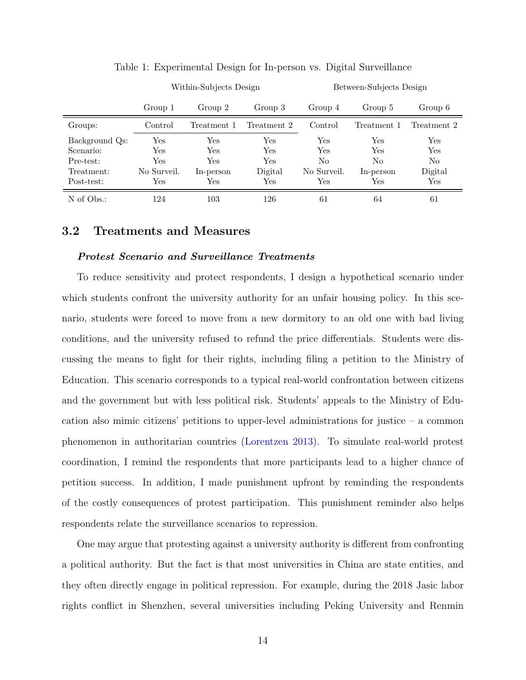<span id="page-14-0"></span>

|                |                      | Within-Subjects Design     |         | Between-Subjects Design |             |                      |  |
|----------------|----------------------|----------------------------|---------|-------------------------|-------------|----------------------|--|
|                | Group 2<br>Group 1   |                            | Group 3 | Group 4                 | Group 5     | Group 6              |  |
| Groups:        | Control              | Treatment 2<br>Treatment 1 |         | Control                 | Treatment 1 | Treatment 2          |  |
| Background Qs: | Yes                  | Yes                        | Yes     | Yes                     | Yes         | Yes                  |  |
| Scenario:      | $\operatorname{Yes}$ | $\operatorname{Yes}$       | Yes     | Yes                     | Yes         | Yes                  |  |
| Pre-test:      | Yes                  | $\operatorname{Yes}$       | Yes     | No                      | No          | No                   |  |
| Treatment:     | No Surveil.          | In-person                  | Digital | No Surveil.             | In-person   | Digital              |  |
| Post-test:     | Yes                  | $\operatorname{Yes}$       | Yes     | Yes                     | Yes         | $\operatorname{Yes}$ |  |
| N of Obs.:     | 124                  | 103                        | 126     | 61                      | 64          | 61                   |  |

Table 1: Experimental Design for In-person vs. Digital Surveillance

## 3.2 Treatments and Measures

#### Protest Scenario and Surveillance Treatments

To reduce sensitivity and protect respondents, I design a hypothetical scenario under which students confront the university authority for an unfair housing policy. In this scenario, students were forced to move from a new dormitory to an old one with bad living conditions, and the university refused to refund the price differentials. Students were discussing the means to fight for their rights, including filing a petition to the Ministry of Education. This scenario corresponds to a typical real-world confrontation between citizens and the government but with less political risk. Students' appeals to the Ministry of Education also mimic citizens' petitions to upper-level administrations for justice – a common phenomenon in authoritarian countries [\(Lorentzen](#page-40-5) [2013\)](#page-40-5). To simulate real-world protest coordination, I remind the respondents that more participants lead to a higher chance of petition success. In addition, I made punishment upfront by reminding the respondents of the costly consequences of protest participation. This punishment reminder also helps respondents relate the surveillance scenarios to repression.

One may argue that protesting against a university authority is different from confronting a political authority. But the fact is that most universities in China are state entities, and they often directly engage in political repression. For example, during the 2018 Jasic labor rights conflict in Shenzhen, several universities including Peking University and Renmin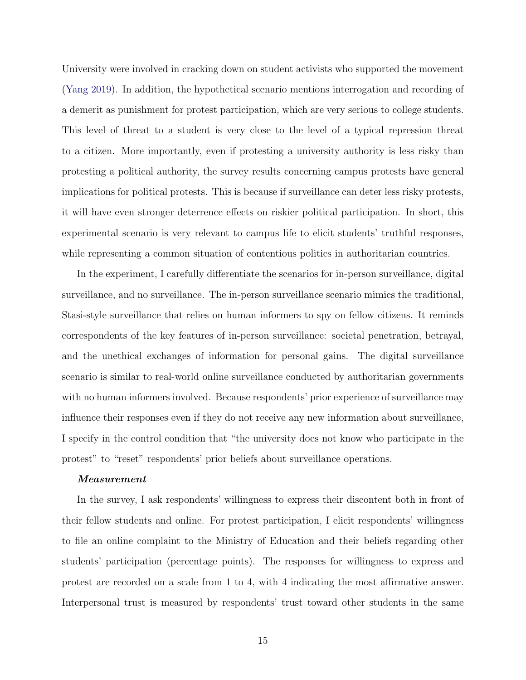University were involved in cracking down on student activists who supported the movement [\(Yang](#page-42-4) [2019\)](#page-42-4). In addition, the hypothetical scenario mentions interrogation and recording of a demerit as punishment for protest participation, which are very serious to college students. This level of threat to a student is very close to the level of a typical repression threat to a citizen. More importantly, even if protesting a university authority is less risky than protesting a political authority, the survey results concerning campus protests have general implications for political protests. This is because if surveillance can deter less risky protests, it will have even stronger deterrence effects on riskier political participation. In short, this experimental scenario is very relevant to campus life to elicit students' truthful responses, while representing a common situation of contentious politics in authoritarian countries.

In the experiment, I carefully differentiate the scenarios for in-person surveillance, digital surveillance, and no surveillance. The in-person surveillance scenario mimics the traditional, Stasi-style surveillance that relies on human informers to spy on fellow citizens. It reminds correspondents of the key features of in-person surveillance: societal penetration, betrayal, and the unethical exchanges of information for personal gains. The digital surveillance scenario is similar to real-world online surveillance conducted by authoritarian governments with no human informers involved. Because respondents' prior experience of surveillance may influence their responses even if they do not receive any new information about surveillance, I specify in the control condition that "the university does not know who participate in the protest" to "reset" respondents' prior beliefs about surveillance operations.

### Measurement

In the survey, I ask respondents' willingness to express their discontent both in front of their fellow students and online. For protest participation, I elicit respondents' willingness to file an online complaint to the Ministry of Education and their beliefs regarding other students' participation (percentage points). The responses for willingness to express and protest are recorded on a scale from 1 to 4, with 4 indicating the most affirmative answer. Interpersonal trust is measured by respondents' trust toward other students in the same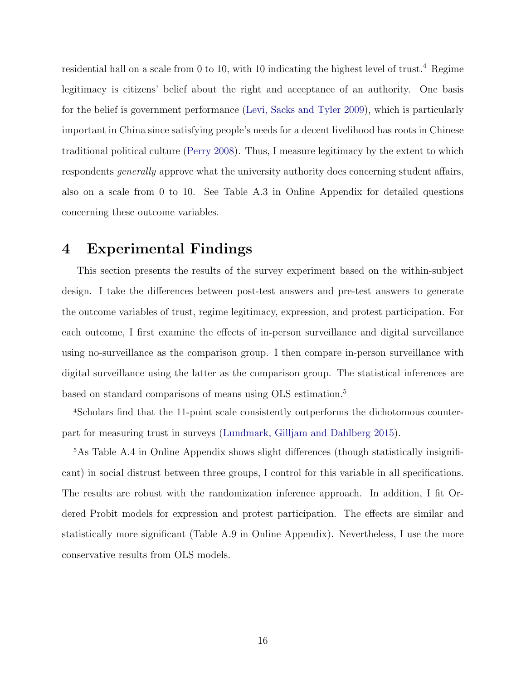residential hall on a scale from 0 to 10, with 10 indicating the highest level of trust.<sup>[4](#page-16-0)</sup> Regime legitimacy is citizens' belief about the right and acceptance of an authority. One basis for the belief is government performance [\(Levi, Sacks and Tyler](#page-40-6) [2009\)](#page-40-6), which is particularly important in China since satisfying people's needs for a decent livelihood has roots in Chinese traditional political culture [\(Perry](#page-41-9) [2008\)](#page-41-9). Thus, I measure legitimacy by the extent to which respondents generally approve what the university authority does concerning student affairs, also on a scale from 0 to 10. See Table A.3 in Online Appendix for detailed questions concerning these outcome variables.

# 4 Experimental Findings

This section presents the results of the survey experiment based on the within-subject design. I take the differences between post-test answers and pre-test answers to generate the outcome variables of trust, regime legitimacy, expression, and protest participation. For each outcome, I first examine the effects of in-person surveillance and digital surveillance using no-surveillance as the comparison group. I then compare in-person surveillance with digital surveillance using the latter as the comparison group. The statistical inferences are based on standard comparisons of means using OLS estimation.[5](#page-16-1)

<span id="page-16-0"></span>4Scholars find that the 11-point scale consistently outperforms the dichotomous counterpart for measuring trust in surveys [\(Lundmark, Gilljam and Dahlberg](#page-40-7) [2015\)](#page-40-7).

<span id="page-16-1"></span>5As Table A.4 in Online Appendix shows slight differences (though statistically insignificant) in social distrust between three groups, I control for this variable in all specifications. The results are robust with the randomization inference approach. In addition, I fit Ordered Probit models for expression and protest participation. The effects are similar and statistically more significant (Table A.9 in Online Appendix). Nevertheless, I use the more conservative results from OLS models.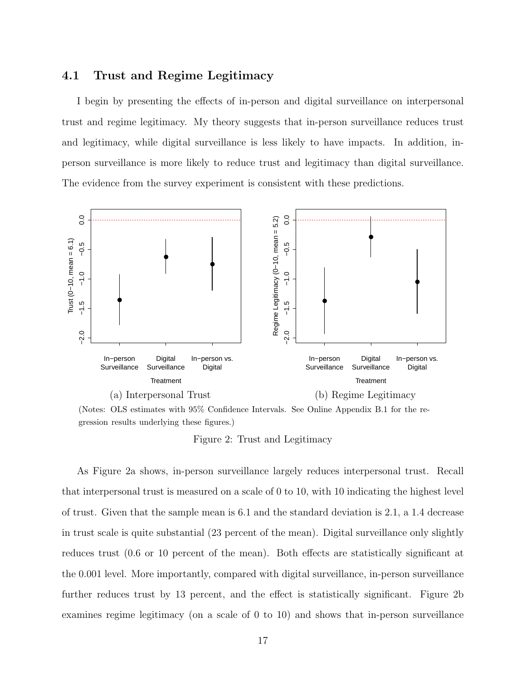## 4.1 Trust and Regime Legitimacy

I begin by presenting the effects of in-person and digital surveillance on interpersonal trust and regime legitimacy. My theory suggests that in-person surveillance reduces trust and legitimacy, while digital surveillance is less likely to have impacts. In addition, inperson surveillance is more likely to reduce trust and legitimacy than digital surveillance. The evidence from the survey experiment is consistent with these predictions.



(Notes: OLS estimates with 95% Confidence Intervals. See Online Appendix B.1 for the regression results underlying these figures.)

Figure 2: Trust and Legitimacy

As Figure 2a shows, in-person surveillance largely reduces interpersonal trust. Recall that interpersonal trust is measured on a scale of 0 to 10, with 10 indicating the highest level of trust. Given that the sample mean is 6.1 and the standard deviation is 2.1, a 1.4 decrease in trust scale is quite substantial (23 percent of the mean). Digital surveillance only slightly reduces trust (0.6 or 10 percent of the mean). Both effects are statistically significant at the 0.001 level. More importantly, compared with digital surveillance, in-person surveillance further reduces trust by 13 percent, and the effect is statistically significant. Figure 2b examines regime legitimacy (on a scale of 0 to 10) and shows that in-person surveillance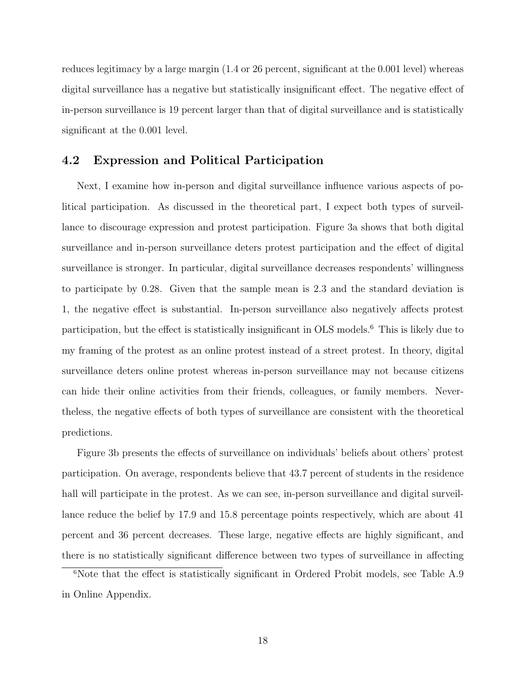reduces legitimacy by a large margin (1.4 or 26 percent, significant at the 0.001 level) whereas digital surveillance has a negative but statistically insignificant effect. The negative effect of in-person surveillance is 19 percent larger than that of digital surveillance and is statistically significant at the 0.001 level.

## 4.2 Expression and Political Participation

Next, I examine how in-person and digital surveillance influence various aspects of political participation. As discussed in the theoretical part, I expect both types of surveillance to discourage expression and protest participation. Figure 3a shows that both digital surveillance and in-person surveillance deters protest participation and the effect of digital surveillance is stronger. In particular, digital surveillance decreases respondents' willingness to participate by 0.28. Given that the sample mean is 2.3 and the standard deviation is 1, the negative effect is substantial. In-person surveillance also negatively affects protest participation, but the effect is statistically insignificant in OLS models.[6](#page-18-0) This is likely due to my framing of the protest as an online protest instead of a street protest. In theory, digital surveillance deters online protest whereas in-person surveillance may not because citizens can hide their online activities from their friends, colleagues, or family members. Nevertheless, the negative effects of both types of surveillance are consistent with the theoretical predictions.

Figure 3b presents the effects of surveillance on individuals' beliefs about others' protest participation. On average, respondents believe that 43.7 percent of students in the residence hall will participate in the protest. As we can see, in-person surveillance and digital surveillance reduce the belief by 17.9 and 15.8 percentage points respectively, which are about 41 percent and 36 percent decreases. These large, negative effects are highly significant, and there is no statistically significant difference between two types of surveillance in affecting

<span id="page-18-0"></span><sup>&</sup>lt;sup>6</sup>Note that the effect is statistically significant in Ordered Probit models, see Table A.9 in Online Appendix.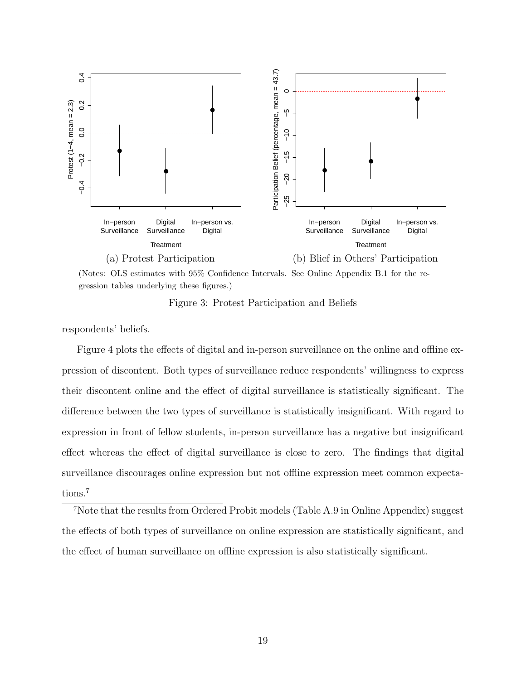



Figure 3: Protest Participation and Beliefs

respondents' beliefs.

Figure 4 plots the effects of digital and in-person surveillance on the online and offline expression of discontent. Both types of surveillance reduce respondents' willingness to express their discontent online and the effect of digital surveillance is statistically significant. The difference between the two types of surveillance is statistically insignificant. With regard to expression in front of fellow students, in-person surveillance has a negative but insignificant effect whereas the effect of digital surveillance is close to zero. The findings that digital surveillance discourages online expression but not offline expression meet common expecta-tions.<sup>[7](#page-19-0)</sup>

<span id="page-19-0"></span><sup>7</sup>Note that the results from Ordered Probit models (Table A.9 in Online Appendix) suggest the effects of both types of surveillance on online expression are statistically significant, and the effect of human surveillance on offline expression is also statistically significant.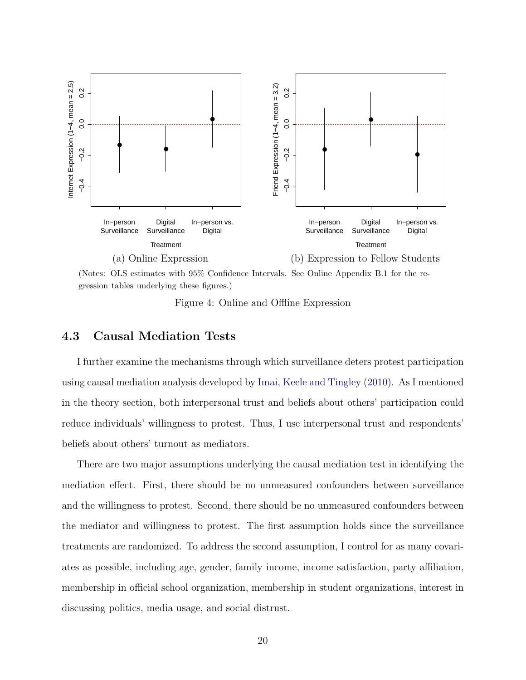

(Notes: OLS estimates with 95% Confidence Intervals. See Online Appendix B.1 for the regression tables underlying these figures.)

Figure 4: Online and Offline Expression

## 4.3 Causal Mediation Tests

I further examine the mechanisms through which surveillance deters protest participation using causal mediation analysis developed by [Imai, Keele and Tingley](#page-39-8) [\(2010\)](#page-39-8). As I mentioned in the theory section, both interpersonal trust and beliefs about others' participation could reduce individuals' willingness to protest. Thus, I use interpersonal trust and respondents' beliefs about others' turnout as mediators.

There are two major assumptions underlying the causal mediation test in identifying the mediation effect. First, there should be no unmeasured confounders between surveillance and the willingness to protest. Second, there should be no unmeasured confounders between the mediator and willingness to protest. The first assumption holds since the surveillance treatments are randomized. To address the second assumption, I control for as many covariates as possible, including age, gender, family income, income satisfaction, party affiliation, membership in official school organization, membership in student organizations, interest in discussing politics, media usage, and social distrust.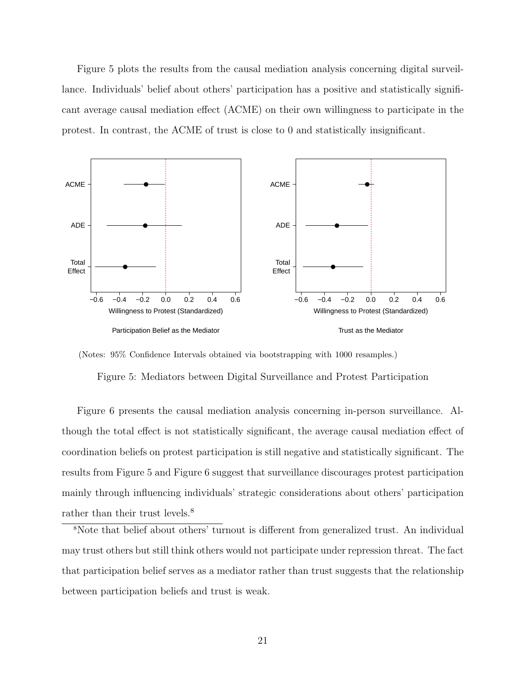Figure 5 plots the results from the causal mediation analysis concerning digital surveillance. Individuals' belief about others' participation has a positive and statistically significant average causal mediation effect (ACME) on their own willingness to participate in the protest. In contrast, the ACME of trust is close to 0 and statistically insignificant.



(Notes: 95% Confidence Intervals obtained via bootstrapping with 1000 resamples.)

Figure 5: Mediators between Digital Surveillance and Protest Participation

Figure 6 presents the causal mediation analysis concerning in-person surveillance. Although the total effect is not statistically significant, the average causal mediation effect of coordination beliefs on protest participation is still negative and statistically significant. The results from Figure 5 and Figure 6 suggest that surveillance discourages protest participation mainly through influencing individuals' strategic considerations about others' participation rather than their trust levels.<sup>[8](#page-21-0)</sup>

<span id="page-21-0"></span><sup>8</sup>Note that belief about others' turnout is different from generalized trust. An individual may trust others but still think others would not participate under repression threat. The fact that participation belief serves as a mediator rather than trust suggests that the relationship between participation beliefs and trust is weak.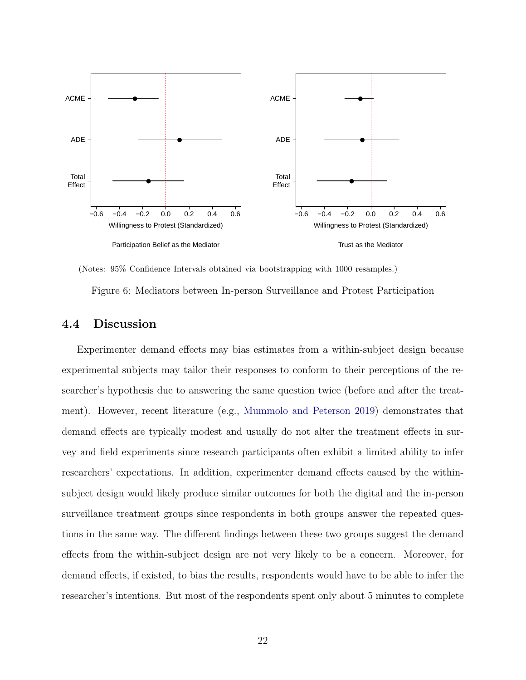

(Notes: 95% Confidence Intervals obtained via bootstrapping with 1000 resamples.)

Figure 6: Mediators between In-person Surveillance and Protest Participation

## 4.4 Discussion

Experimenter demand effects may bias estimates from a within-subject design because experimental subjects may tailor their responses to conform to their perceptions of the researcher's hypothesis due to answering the same question twice (before and after the treatment). However, recent literature (e.g., [Mummolo and Peterson](#page-41-10) [2019\)](#page-41-10) demonstrates that demand effects are typically modest and usually do not alter the treatment effects in survey and field experiments since research participants often exhibit a limited ability to infer researchers' expectations. In addition, experimenter demand effects caused by the withinsubject design would likely produce similar outcomes for both the digital and the in-person surveillance treatment groups since respondents in both groups answer the repeated questions in the same way. The different findings between these two groups suggest the demand effects from the within-subject design are not very likely to be a concern. Moreover, for demand effects, if existed, to bias the results, respondents would have to be able to infer the researcher's intentions. But most of the respondents spent only about 5 minutes to complete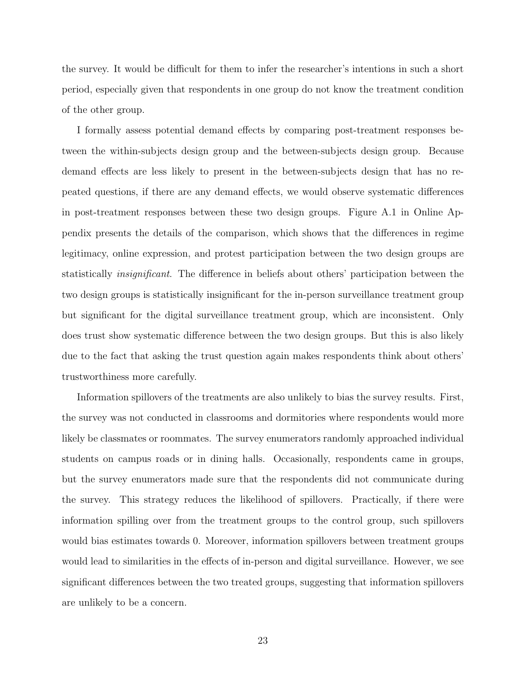the survey. It would be difficult for them to infer the researcher's intentions in such a short period, especially given that respondents in one group do not know the treatment condition of the other group.

I formally assess potential demand effects by comparing post-treatment responses between the within-subjects design group and the between-subjects design group. Because demand effects are less likely to present in the between-subjects design that has no repeated questions, if there are any demand effects, we would observe systematic differences in post-treatment responses between these two design groups. Figure A.1 in Online Appendix presents the details of the comparison, which shows that the differences in regime legitimacy, online expression, and protest participation between the two design groups are statistically insignificant. The difference in beliefs about others' participation between the two design groups is statistically insignificant for the in-person surveillance treatment group but significant for the digital surveillance treatment group, which are inconsistent. Only does trust show systematic difference between the two design groups. But this is also likely due to the fact that asking the trust question again makes respondents think about others' trustworthiness more carefully.

Information spillovers of the treatments are also unlikely to bias the survey results. First, the survey was not conducted in classrooms and dormitories where respondents would more likely be classmates or roommates. The survey enumerators randomly approached individual students on campus roads or in dining halls. Occasionally, respondents came in groups, but the survey enumerators made sure that the respondents did not communicate during the survey. This strategy reduces the likelihood of spillovers. Practically, if there were information spilling over from the treatment groups to the control group, such spillovers would bias estimates towards 0. Moreover, information spillovers between treatment groups would lead to similarities in the effects of in-person and digital surveillance. However, we see significant differences between the two treated groups, suggesting that information spillovers are unlikely to be a concern.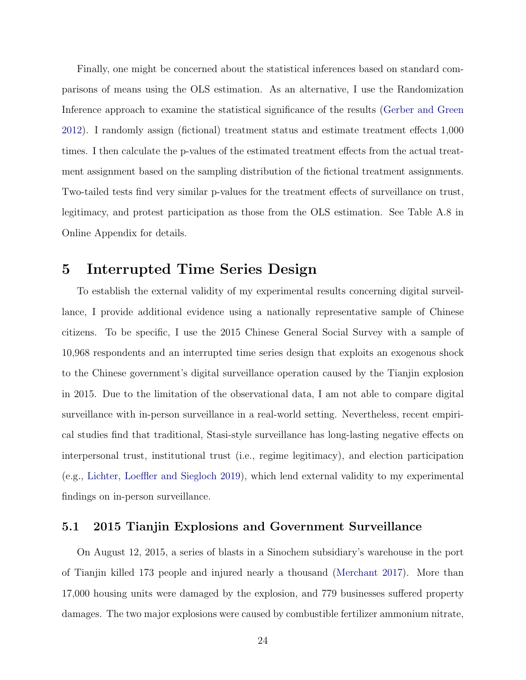Finally, one might be concerned about the statistical inferences based on standard comparisons of means using the OLS estimation. As an alternative, I use the Randomization Inference approach to examine the statistical significance of the results [\(Gerber and Green](#page-38-10) [2012\)](#page-38-10). I randomly assign (fictional) treatment status and estimate treatment effects 1,000 times. I then calculate the p-values of the estimated treatment effects from the actual treatment assignment based on the sampling distribution of the fictional treatment assignments. Two-tailed tests find very similar p-values for the treatment effects of surveillance on trust, legitimacy, and protest participation as those from the OLS estimation. See Table A.8 in Online Appendix for details.

# 5 Interrupted Time Series Design

To establish the external validity of my experimental results concerning digital surveillance, I provide additional evidence using a nationally representative sample of Chinese citizens. To be specific, I use the 2015 Chinese General Social Survey with a sample of 10,968 respondents and an interrupted time series design that exploits an exogenous shock to the Chinese government's digital surveillance operation caused by the Tianjin explosion in 2015. Due to the limitation of the observational data, I am not able to compare digital surveillance with in-person surveillance in a real-world setting. Nevertheless, recent empirical studies find that traditional, Stasi-style surveillance has long-lasting negative effects on interpersonal trust, institutional trust (i.e., regime legitimacy), and election participation (e.g., [Lichter, Loeffler and Siegloch](#page-40-2) [2019\)](#page-40-2), which lend external validity to my experimental findings on in-person surveillance.

## 5.1 2015 Tianjin Explosions and Government Surveillance

On August 12, 2015, a series of blasts in a Sinochem subsidiary's warehouse in the port of Tianjin killed 173 people and injured nearly a thousand [\(Merchant](#page-40-1) [2017\)](#page-40-1). More than 17,000 housing units were damaged by the explosion, and 779 businesses suffered property damages. The two major explosions were caused by combustible fertilizer ammonium nitrate,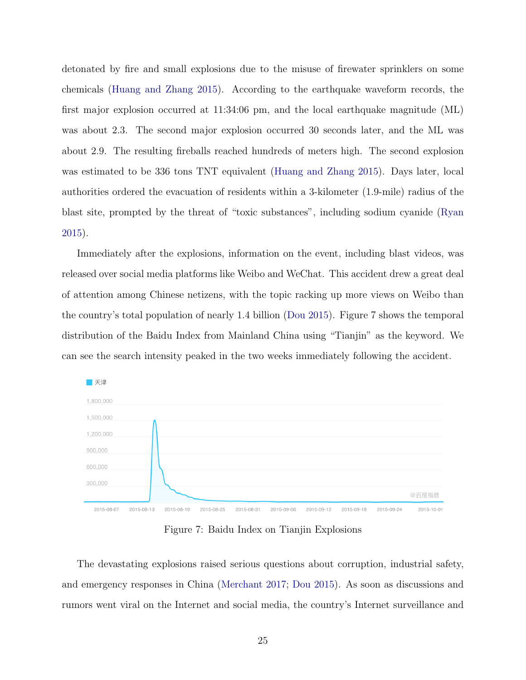detonated by fire and small explosions due to the misuse of firewater sprinklers on some chemicals [\(Huang and Zhang](#page-39-9) [2015\)](#page-39-9). According to the earthquake waveform records, the first major explosion occurred at 11:34:06 pm, and the local earthquake magnitude (ML) was about 2.3. The second major explosion occurred 30 seconds later, and the ML was about 2.9. The resulting fireballs reached hundreds of meters high. The second explosion was estimated to be 336 tons TNT equivalent [\(Huang and Zhang](#page-39-9) [2015\)](#page-39-9). Days later, local authorities ordered the evacuation of residents within a 3-kilometer (1.9-mile) radius of the blast site, prompted by the threat of "toxic substances", including sodium cyanide [\(Ryan](#page-41-11) [2015\)](#page-41-11).

Immediately after the explosions, information on the event, including blast videos, was released over social media platforms like Weibo and WeChat. This accident drew a great deal of attention among Chinese netizens, with the topic racking up more views on Weibo than the country's total population of nearly 1.4 billion [\(Dou](#page-38-4) [2015\)](#page-38-4). Figure 7 shows the temporal distribution of the Baidu Index from Mainland China using "Tianjin" as the keyword. We can see the search intensity peaked in the two weeks immediately following the accident.



Figure 7: Baidu Index on Tianjin Explosions

The devastating explosions raised serious questions about corruption, industrial safety, and emergency responses in China [\(Merchant](#page-40-1) [2017;](#page-40-1) [Dou](#page-38-4) [2015\)](#page-38-4). As soon as discussions and rumors went viral on the Internet and social media, the country's Internet surveillance and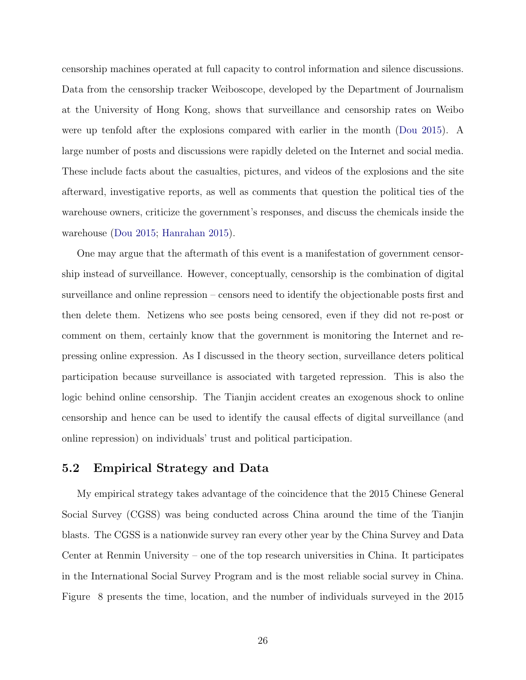censorship machines operated at full capacity to control information and silence discussions. Data from the censorship tracker Weiboscope, developed by the Department of Journalism at the University of Hong Kong, shows that surveillance and censorship rates on Weibo were up tenfold after the explosions compared with earlier in the month [\(Dou](#page-38-4) [2015\)](#page-38-4). A large number of posts and discussions were rapidly deleted on the Internet and social media. These include facts about the casualties, pictures, and videos of the explosions and the site afterward, investigative reports, as well as comments that question the political ties of the warehouse owners, criticize the government's responses, and discuss the chemicals inside the warehouse [\(Dou](#page-38-4) [2015;](#page-38-4) [Hanrahan](#page-39-10) [2015\)](#page-39-10).

One may argue that the aftermath of this event is a manifestation of government censorship instead of surveillance. However, conceptually, censorship is the combination of digital surveillance and online repression – censors need to identify the objectionable posts first and then delete them. Netizens who see posts being censored, even if they did not re-post or comment on them, certainly know that the government is monitoring the Internet and repressing online expression. As I discussed in the theory section, surveillance deters political participation because surveillance is associated with targeted repression. This is also the logic behind online censorship. The Tianjin accident creates an exogenous shock to online censorship and hence can be used to identify the causal effects of digital surveillance (and online repression) on individuals' trust and political participation.

## 5.2 Empirical Strategy and Data

My empirical strategy takes advantage of the coincidence that the 2015 Chinese General Social Survey (CGSS) was being conducted across China around the time of the Tianjin blasts. The CGSS is a nationwide survey ran every other year by the China Survey and Data Center at Renmin University – one of the top research universities in China. It participates in the International Social Survey Program and is the most reliable social survey in China. Figure [8](#page-27-0) presents the time, location, and the number of individuals surveyed in the 2015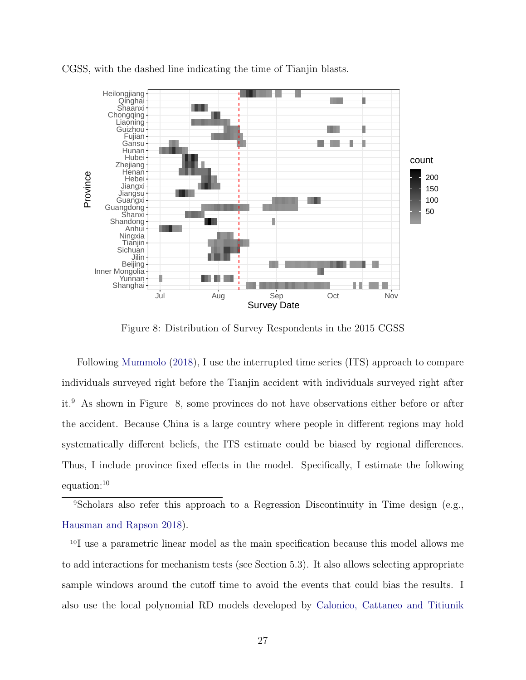<span id="page-27-0"></span>

CGSS, with the dashed line indicating the time of Tianjin blasts.

Figure 8: Distribution of Survey Respondents in the 2015 CGSS

Following [Mummolo](#page-40-8) [\(2018\)](#page-40-8), I use the interrupted time series (ITS) approach to compare individuals surveyed right before the Tianjin accident with individuals surveyed right after it.[9](#page-27-1) As shown in Figure [8,](#page-27-0) some provinces do not have observations either before or after the accident. Because China is a large country where people in different regions may hold systematically different beliefs, the ITS estimate could be biased by regional differences. Thus, I include province fixed effects in the model. Specifically, I estimate the following equation:[10](#page-27-2)

<span id="page-27-1"></span><sup>9</sup>Scholars also refer this approach to a Regression Discontinuity in Time design (e.g., [Hausman and Rapson](#page-39-11) [2018\)](#page-39-11).

<span id="page-27-2"></span><sup>10</sup>I use a parametric linear model as the main specification because this model allows me to add interactions for mechanism tests (see Section 5.3). It also allows selecting appropriate sample windows around the cutoff time to avoid the events that could bias the results. I also use the local polynomial RD models developed by [Calonico, Cattaneo and Titiunik](#page-37-11)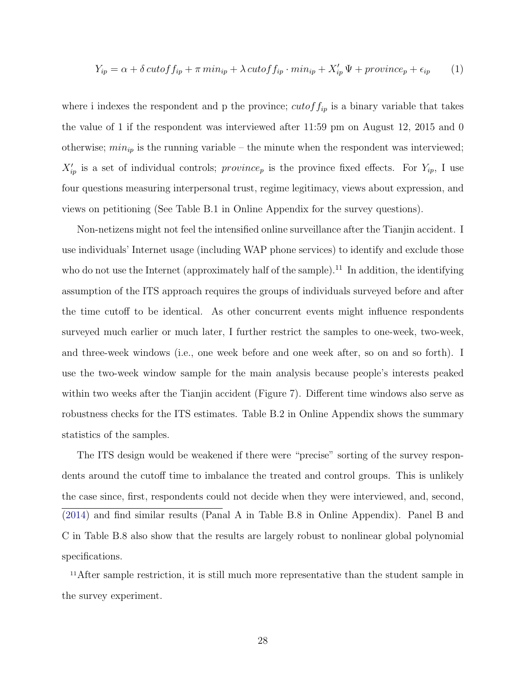$$
Y_{ip} = \alpha + \delta \, cutoff_{ip} + \pi \, min_{ip} + \lambda \, cutoff_{ip} \cdot min_{ip} + X'_{ip} \, \Psi + \, province_p + \epsilon_{ip} \tag{1}
$$

where i indexes the respondent and p the province;  $cutoff_{ip}$  is a binary variable that takes the value of 1 if the respondent was interviewed after 11:59 pm on August 12, 2015 and 0 otherwise;  $min_{ip}$  is the running variable – the minute when the respondent was interviewed;  $X'_{ip}$  is a set of individual controls; province<sub>p</sub> is the province fixed effects. For  $Y_{ip}$ , I use four questions measuring interpersonal trust, regime legitimacy, views about expression, and views on petitioning (See Table B.1 in Online Appendix for the survey questions).

Non-netizens might not feel the intensified online surveillance after the Tianjin accident. I use individuals' Internet usage (including WAP phone services) to identify and exclude those who do not use the Internet (approximately half of the sample).<sup>[11](#page-28-0)</sup> In addition, the identifying assumption of the ITS approach requires the groups of individuals surveyed before and after the time cutoff to be identical. As other concurrent events might influence respondents surveyed much earlier or much later, I further restrict the samples to one-week, two-week, and three-week windows (i.e., one week before and one week after, so on and so forth). I use the two-week window sample for the main analysis because people's interests peaked within two weeks after the Tianjin accident (Figure 7). Different time windows also serve as robustness checks for the ITS estimates. Table B.2 in Online Appendix shows the summary statistics of the samples.

The ITS design would be weakened if there were "precise" sorting of the survey respondents around the cutoff time to imbalance the treated and control groups. This is unlikely the case since, first, respondents could not decide when they were interviewed, and, second, [\(2014\)](#page-37-11) and find similar results (Panal A in Table B.8 in Online Appendix). Panel B and C in Table B.8 also show that the results are largely robust to nonlinear global polynomial specifications.

<span id="page-28-0"></span><sup>11</sup>After sample restriction, it is still much more representative than the student sample in the survey experiment.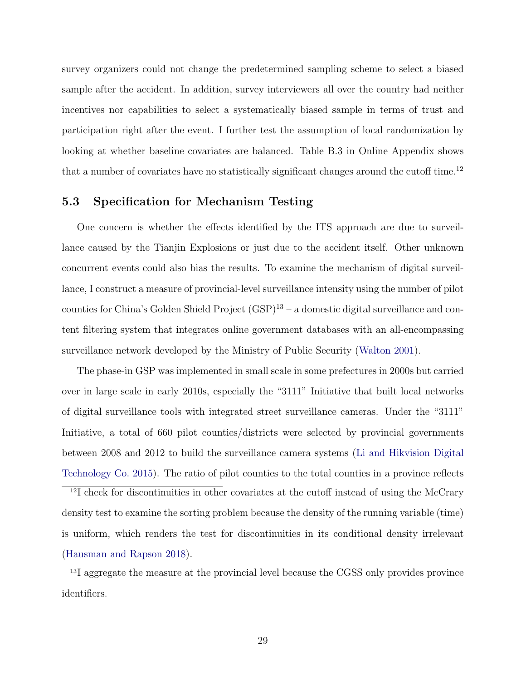survey organizers could not change the predetermined sampling scheme to select a biased sample after the accident. In addition, survey interviewers all over the country had neither incentives nor capabilities to select a systematically biased sample in terms of trust and participation right after the event. I further test the assumption of local randomization by looking at whether baseline covariates are balanced. Table B.3 in Online Appendix shows that a number of covariates have no statistically significant changes around the cutoff time.<sup>[12](#page-29-0)</sup>

## 5.3 Specification for Mechanism Testing

One concern is whether the effects identified by the ITS approach are due to surveillance caused by the Tianjin Explosions or just due to the accident itself. Other unknown concurrent events could also bias the results. To examine the mechanism of digital surveillance, I construct a measure of provincial-level surveillance intensity using the number of pilot counties for China's Golden Shield Project  $(GSP)^{13}$  $(GSP)^{13}$  $(GSP)^{13}$  – a domestic digital surveillance and content filtering system that integrates online government databases with an all-encompassing surveillance network developed by the Ministry of Public Security [\(Walton](#page-41-12) [2001\)](#page-41-12).

The phase-in GSP was implemented in small scale in some prefectures in 2000s but carried over in large scale in early 2010s, especially the "3111" Initiative that built local networks of digital surveillance tools with integrated street surveillance cameras. Under the "3111" Initiative, a total of 660 pilot counties/districts were selected by provincial governments between 2008 and 2012 to build the surveillance camera systems [\(Li and Hikvision Digital](#page-40-9) [Technology Co.](#page-40-9) [2015\)](#page-40-9). The ratio of pilot counties to the total counties in a province reflects

<span id="page-29-0"></span><sup>12</sup>I check for discontinuities in other covariates at the cutoff instead of using the McCrary density test to examine the sorting problem because the density of the running variable (time) is uniform, which renders the test for discontinuities in its conditional density irrelevant [\(Hausman and Rapson](#page-39-11) [2018\)](#page-39-11).

<span id="page-29-1"></span><sup>13</sup>I aggregate the measure at the provincial level because the CGSS only provides province identifiers.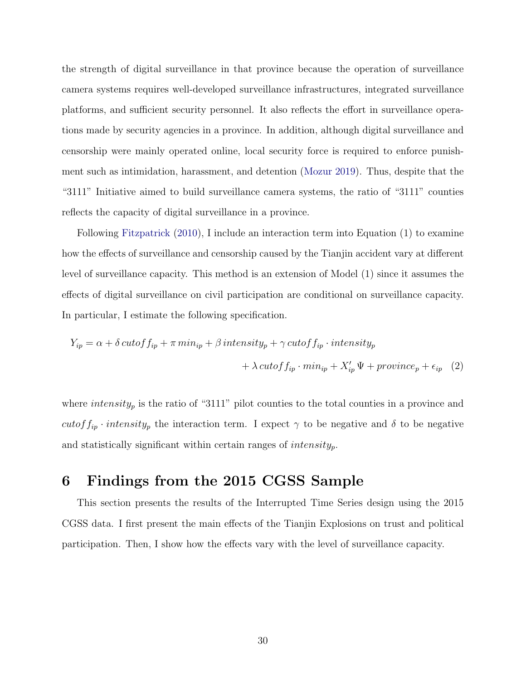the strength of digital surveillance in that province because the operation of surveillance camera systems requires well-developed surveillance infrastructures, integrated surveillance platforms, and sufficient security personnel. It also reflects the effort in surveillance operations made by security agencies in a province. In addition, although digital surveillance and censorship were mainly operated online, local security force is required to enforce punishment such as intimidation, harassment, and detention [\(Mozur](#page-40-10) [2019\)](#page-40-10). Thus, despite that the "3111" Initiative aimed to build surveillance camera systems, the ratio of "3111" counties reflects the capacity of digital surveillance in a province.

Following [Fitzpatrick](#page-38-11) [\(2010\)](#page-38-11), I include an interaction term into Equation (1) to examine how the effects of surveillance and censorship caused by the Tianjin accident vary at different level of surveillance capacity. This method is an extension of Model (1) since it assumes the effects of digital surveillance on civil participation are conditional on surveillance capacity. In particular, I estimate the following specification.

$$
Y_{ip} = \alpha + \delta \, cutoff \, f_{ip} + \pi \, min_{ip} + \beta \, intensity_{p} + \gamma \, cutoff \, f_{ip} \cdot intensity_{p}
$$

$$
+ \lambda \, cutoff \, f_{ip} \cdot min_{ip} + X'_{ip} \, \Psi + province_{p} + \epsilon_{ip} \quad (2)
$$

where  $intensity_p$  is the ratio of "3111" pilot counties to the total counties in a province and cutof  $f_{ip}$  · intensity<sub>p</sub> the interaction term. I expect  $\gamma$  to be negative and  $\delta$  to be negative and statistically significant within certain ranges of  $intensity_p$ .

# 6 Findings from the 2015 CGSS Sample

This section presents the results of the Interrupted Time Series design using the 2015 CGSS data. I first present the main effects of the Tianjin Explosions on trust and political participation. Then, I show how the effects vary with the level of surveillance capacity.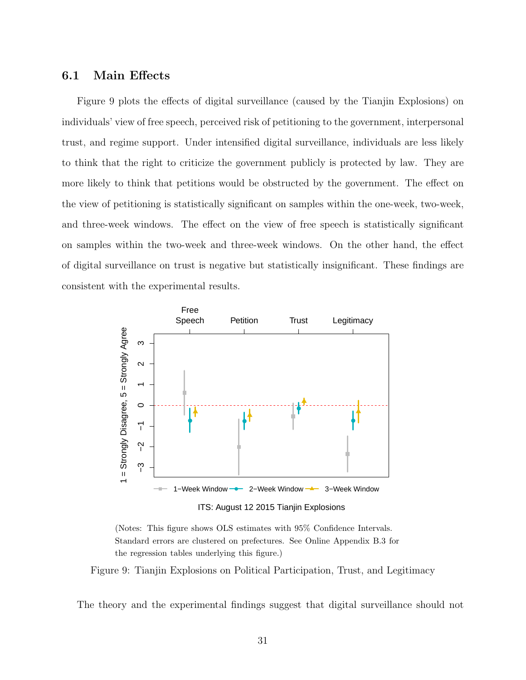## 6.1 Main Effects

Figure 9 plots the effects of digital surveillance (caused by the Tianjin Explosions) on individuals' view of free speech, perceived risk of petitioning to the government, interpersonal trust, and regime support. Under intensified digital surveillance, individuals are less likely to think that the right to criticize the government publicly is protected by law. They are more likely to think that petitions would be obstructed by the government. The effect on the view of petitioning is statistically significant on samples within the one-week, two-week, and three-week windows. The effect on the view of free speech is statistically significant on samples within the two-week and three-week windows. On the other hand, the effect of digital surveillance on trust is negative but statistically insignificant. These findings are consistent with the experimental results.



ITS: August 12 2015 Tianjin Explosions

(Notes: This figure shows OLS estimates with 95% Confidence Intervals. Standard errors are clustered on prefectures. See Online Appendix B.3 for the regression tables underlying this figure.)

Figure 9: Tianjin Explosions on Political Participation, Trust, and Legitimacy

The theory and the experimental findings suggest that digital surveillance should not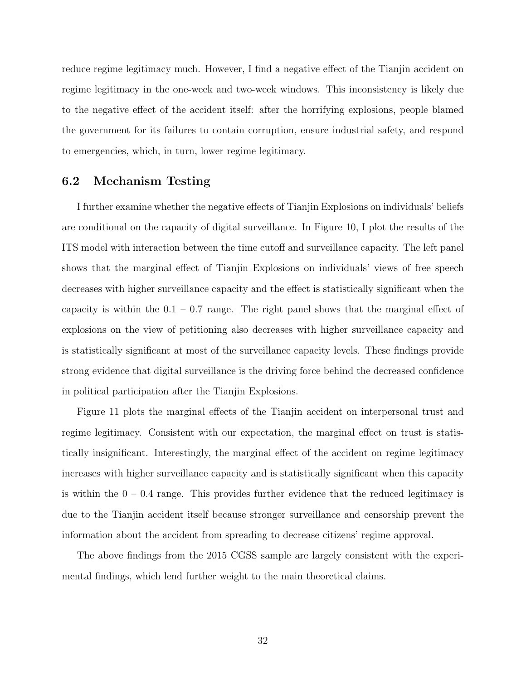reduce regime legitimacy much. However, I find a negative effect of the Tianjin accident on regime legitimacy in the one-week and two-week windows. This inconsistency is likely due to the negative effect of the accident itself: after the horrifying explosions, people blamed the government for its failures to contain corruption, ensure industrial safety, and respond to emergencies, which, in turn, lower regime legitimacy.

## 6.2 Mechanism Testing

I further examine whether the negative effects of Tianjin Explosions on individuals' beliefs are conditional on the capacity of digital surveillance. In Figure 10, I plot the results of the ITS model with interaction between the time cutoff and surveillance capacity. The left panel shows that the marginal effect of Tianjin Explosions on individuals' views of free speech decreases with higher surveillance capacity and the effect is statistically significant when the capacity is within the  $0.1 - 0.7$  range. The right panel shows that the marginal effect of explosions on the view of petitioning also decreases with higher surveillance capacity and is statistically significant at most of the surveillance capacity levels. These findings provide strong evidence that digital surveillance is the driving force behind the decreased confidence in political participation after the Tianjin Explosions.

Figure 11 plots the marginal effects of the Tianjin accident on interpersonal trust and regime legitimacy. Consistent with our expectation, the marginal effect on trust is statistically insignificant. Interestingly, the marginal effect of the accident on regime legitimacy increases with higher surveillance capacity and is statistically significant when this capacity is within the  $0 - 0.4$  range. This provides further evidence that the reduced legitimacy is due to the Tianjin accident itself because stronger surveillance and censorship prevent the information about the accident from spreading to decrease citizens' regime approval.

The above findings from the 2015 CGSS sample are largely consistent with the experimental findings, which lend further weight to the main theoretical claims.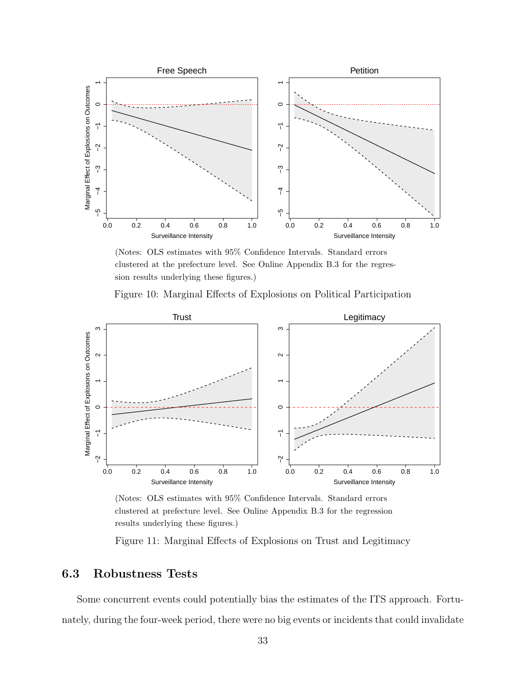<span id="page-33-0"></span>

(Notes: OLS estimates with 95% Confidence Intervals. Standard errors clustered at the prefecture level. See Online Appendix B.3 for the regression results underlying these figures.)





(Notes: OLS estimates with 95% Confidence Intervals. Standard errors clustered at prefecture level. See Online Appendix B.3 for the regression results underlying these figures.)

Figure 11: Marginal Effects of Explosions on Trust and Legitimacy

# 6.3 Robustness Tests

Some concurrent events could potentially bias the estimates of the ITS approach. Fortunately, during the four-week period, there were no big events or incidents that could invalidate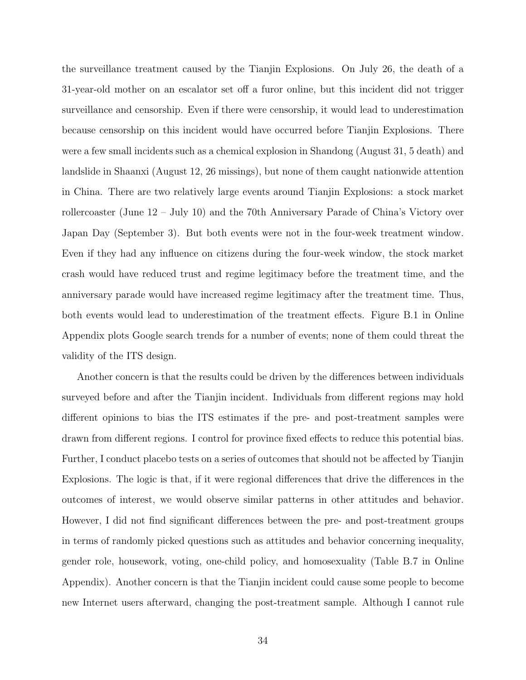the surveillance treatment caused by the Tianjin Explosions. On July 26, the death of a 31-year-old mother on an escalator set off a furor online, but this incident did not trigger surveillance and censorship. Even if there were censorship, it would lead to underestimation because censorship on this incident would have occurred before Tianjin Explosions. There were a few small incidents such as a chemical explosion in Shandong (August 31, 5 death) and landslide in Shaanxi (August 12, 26 missings), but none of them caught nationwide attention in China. There are two relatively large events around Tianjin Explosions: a stock market rollercoaster (June 12 – July 10) and the 70th Anniversary Parade of China's Victory over Japan Day (September 3). But both events were not in the four-week treatment window. Even if they had any influence on citizens during the four-week window, the stock market crash would have reduced trust and regime legitimacy before the treatment time, and the anniversary parade would have increased regime legitimacy after the treatment time. Thus, both events would lead to underestimation of the treatment effects. Figure B.1 in Online Appendix plots Google search trends for a number of events; none of them could threat the validity of the ITS design.

Another concern is that the results could be driven by the differences between individuals surveyed before and after the Tianjin incident. Individuals from different regions may hold different opinions to bias the ITS estimates if the pre- and post-treatment samples were drawn from different regions. I control for province fixed effects to reduce this potential bias. Further, I conduct placebo tests on a series of outcomes that should not be affected by Tianjin Explosions. The logic is that, if it were regional differences that drive the differences in the outcomes of interest, we would observe similar patterns in other attitudes and behavior. However, I did not find significant differences between the pre- and post-treatment groups in terms of randomly picked questions such as attitudes and behavior concerning inequality, gender role, housework, voting, one-child policy, and homosexuality (Table B.7 in Online Appendix). Another concern is that the Tianjin incident could cause some people to become new Internet users afterward, changing the post-treatment sample. Although I cannot rule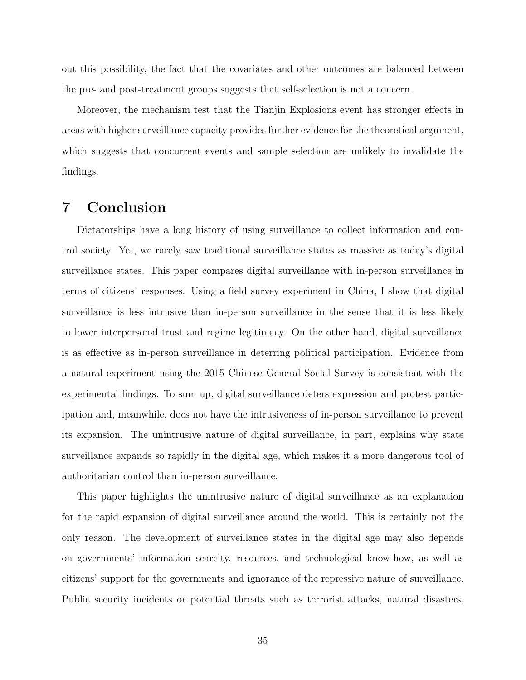out this possibility, the fact that the covariates and other outcomes are balanced between the pre- and post-treatment groups suggests that self-selection is not a concern.

Moreover, the mechanism test that the Tianjin Explosions event has stronger effects in areas with higher surveillance capacity provides further evidence for the theoretical argument, which suggests that concurrent events and sample selection are unlikely to invalidate the findings.

# 7 Conclusion

Dictatorships have a long history of using surveillance to collect information and control society. Yet, we rarely saw traditional surveillance states as massive as today's digital surveillance states. This paper compares digital surveillance with in-person surveillance in terms of citizens' responses. Using a field survey experiment in China, I show that digital surveillance is less intrusive than in-person surveillance in the sense that it is less likely to lower interpersonal trust and regime legitimacy. On the other hand, digital surveillance is as effective as in-person surveillance in deterring political participation. Evidence from a natural experiment using the 2015 Chinese General Social Survey is consistent with the experimental findings. To sum up, digital surveillance deters expression and protest participation and, meanwhile, does not have the intrusiveness of in-person surveillance to prevent its expansion. The unintrusive nature of digital surveillance, in part, explains why state surveillance expands so rapidly in the digital age, which makes it a more dangerous tool of authoritarian control than in-person surveillance.

This paper highlights the unintrusive nature of digital surveillance as an explanation for the rapid expansion of digital surveillance around the world. This is certainly not the only reason. The development of surveillance states in the digital age may also depends on governments' information scarcity, resources, and technological know-how, as well as citizens' support for the governments and ignorance of the repressive nature of surveillance. Public security incidents or potential threats such as terrorist attacks, natural disasters,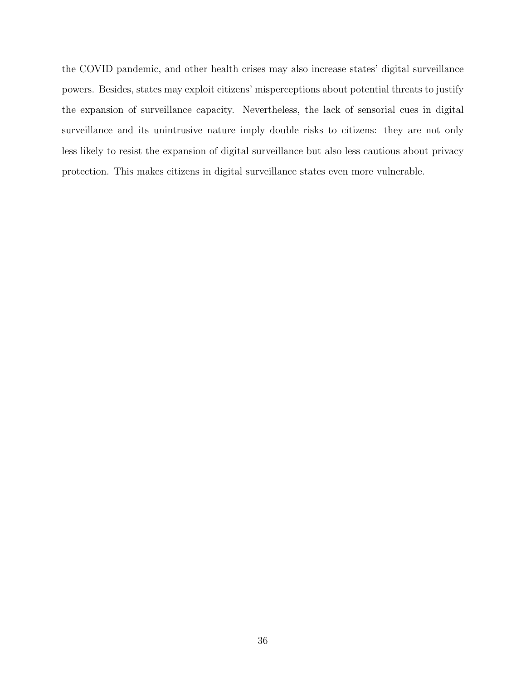the COVID pandemic, and other health crises may also increase states' digital surveillance powers. Besides, states may exploit citizens' misperceptions about potential threats to justify the expansion of surveillance capacity. Nevertheless, the lack of sensorial cues in digital surveillance and its unintrusive nature imply double risks to citizens: they are not only less likely to resist the expansion of digital surveillance but also less cautious about privacy protection. This makes citizens in digital surveillance states even more vulnerable.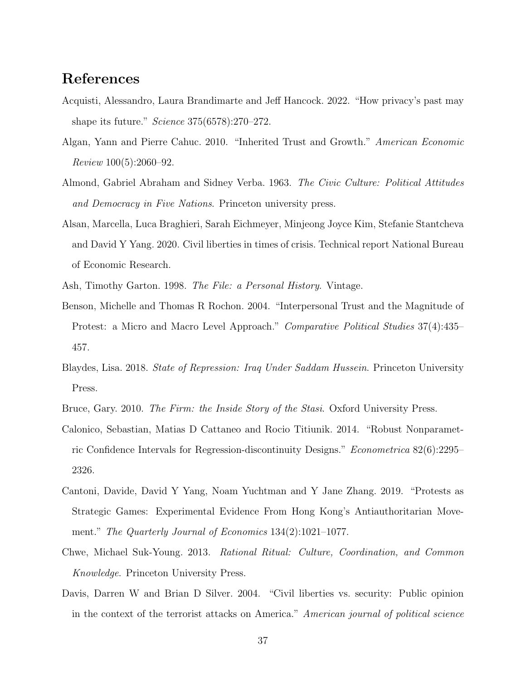# <span id="page-37-0"></span>References

- Acquisti, Alessandro, Laura Brandimarte and Jeff Hancock. 2022. "How privacy's past may shape its future." Science 375(6578):270–272.
- <span id="page-37-5"></span>Algan, Yann and Pierre Cahuc. 2010. "Inherited Trust and Growth." American Economic Review 100(5):2060–92.
- <span id="page-37-6"></span>Almond, Gabriel Abraham and Sidney Verba. 1963. The Civic Culture: Political Attitudes and Democracy in Five Nations. Princeton university press.
- <span id="page-37-3"></span>Alsan, Marcella, Luca Braghieri, Sarah Eichmeyer, Minjeong Joyce Kim, Stefanie Stantcheva and David Y Yang. 2020. Civil liberties in times of crisis. Technical report National Bureau of Economic Research.
- <span id="page-37-9"></span><span id="page-37-8"></span>Ash, Timothy Garton. 1998. The File: a Personal History. Vintage.
- Benson, Michelle and Thomas R Rochon. 2004. "Interpersonal Trust and the Magnitude of Protest: a Micro and Macro Level Approach." Comparative Political Studies 37(4):435– 457.
- <span id="page-37-1"></span>Blaydes, Lisa. 2018. State of Repression: Iraq Under Saddam Hussein. Princeton University Press.
- <span id="page-37-11"></span><span id="page-37-7"></span>Bruce, Gary. 2010. The Firm: the Inside Story of the Stasi. Oxford University Press.
- Calonico, Sebastian, Matias D Cattaneo and Rocio Titiunik. 2014. "Robust Nonparametric Confidence Intervals for Regression-discontinuity Designs." Econometrica 82(6):2295– 2326.
- <span id="page-37-10"></span>Cantoni, Davide, David Y Yang, Noam Yuchtman and Y Jane Zhang. 2019. "Protests as Strategic Games: Experimental Evidence From Hong Kong's Antiauthoritarian Movement." The Quarterly Journal of Economics 134(2):1021–1077.
- <span id="page-37-4"></span>Chwe, Michael Suk-Young. 2013. Rational Ritual: Culture, Coordination, and Common Knowledge. Princeton University Press.
- <span id="page-37-2"></span>Davis, Darren W and Brian D Silver. 2004. "Civil liberties vs. security: Public opinion in the context of the terrorist attacks on America." American journal of political science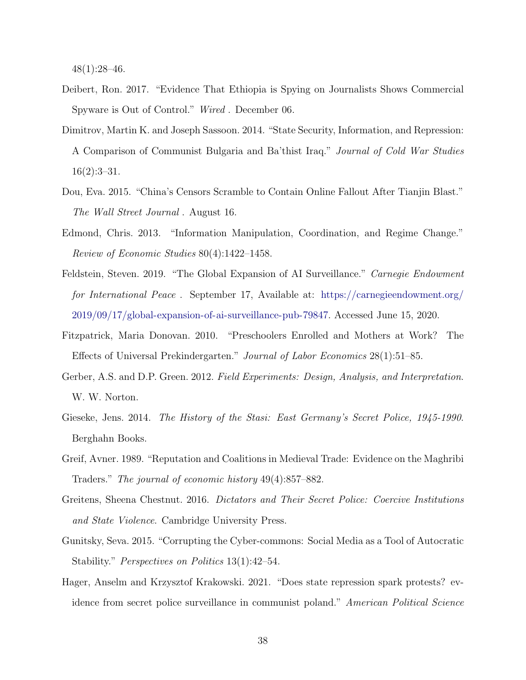48(1):28–46.

- <span id="page-38-8"></span>Deibert, Ron. 2017. "Evidence That Ethiopia is Spying on Journalists Shows Commercial Spyware is Out of Control." Wired . December 06.
- <span id="page-38-9"></span>Dimitrov, Martin K. and Joseph Sassoon. 2014. "State Security, Information, and Repression: A Comparison of Communist Bulgaria and Ba'thist Iraq." Journal of Cold War Studies  $16(2):3-31.$
- <span id="page-38-4"></span>Dou, Eva. 2015. "China's Censors Scramble to Contain Online Fallout After Tianjin Blast." The Wall Street Journal . August 16.
- <span id="page-38-5"></span>Edmond, Chris. 2013. "Information Manipulation, Coordination, and Regime Change." Review of Economic Studies 80(4):1422–1458.
- <span id="page-38-1"></span>Feldstein, Steven. 2019. "The Global Expansion of AI Surveillance." Carnegie Endowment for International Peace . September 17, Available at: [https://carnegieendowment.org/](https://carnegieendowment.org/2019/09/17/global-expansion-of-ai-surveillance-pub-79847) [2019/09/17/global-expansion-of-ai-surveillance-pub-79847.](https://carnegieendowment.org/2019/09/17/global-expansion-of-ai-surveillance-pub-79847) Accessed June 15, 2020.
- <span id="page-38-11"></span>Fitzpatrick, Maria Donovan. 2010. "Preschoolers Enrolled and Mothers at Work? The Effects of Universal Prekindergarten." Journal of Labor Economics 28(1):51–85.
- <span id="page-38-10"></span>Gerber, A.S. and D.P. Green. 2012. Field Experiments: Design, Analysis, and Interpretation. W. W. Norton.
- <span id="page-38-2"></span>Gieseke, Jens. 2014. The History of the Stasi: East Germany's Secret Police, 1945-1990. Berghahn Books.
- <span id="page-38-6"></span>Greif, Avner. 1989. "Reputation and Coalitions in Medieval Trade: Evidence on the Maghribi Traders." The journal of economic history 49(4):857–882.
- <span id="page-38-7"></span>Greitens, Sheena Chestnut. 2016. Dictators and Their Secret Police: Coercive Institutions and State Violence. Cambridge University Press.
- <span id="page-38-0"></span>Gunitsky, Seva. 2015. "Corrupting the Cyber-commons: Social Media as a Tool of Autocratic Stability." Perspectives on Politics 13(1):42–54.
- <span id="page-38-3"></span>Hager, Anselm and Krzysztof Krakowski. 2021. "Does state repression spark protests? evidence from secret police surveillance in communist poland." American Political Science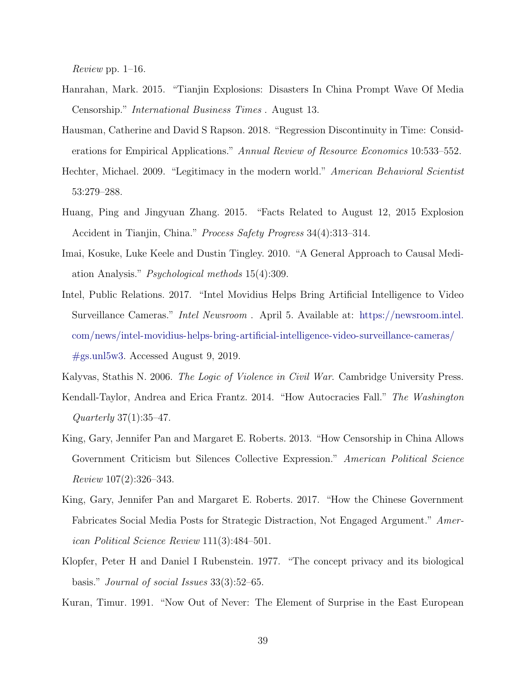*Review* pp.  $1-16$ .

- <span id="page-39-10"></span>Hanrahan, Mark. 2015. "Tianjin Explosions: Disasters In China Prompt Wave Of Media Censorship." International Business Times . August 13.
- <span id="page-39-11"></span>Hausman, Catherine and David S Rapson. 2018. "Regression Discontinuity in Time: Considerations for Empirical Applications." Annual Review of Resource Economics 10:533–552.
- <span id="page-39-0"></span>Hechter, Michael. 2009. "Legitimacy in the modern world." American Behavioral Scientist 53:279–288.
- <span id="page-39-9"></span>Huang, Ping and Jingyuan Zhang. 2015. "Facts Related to August 12, 2015 Explosion Accident in Tianjin, China." Process Safety Progress 34(4):313–314.
- <span id="page-39-8"></span>Imai, Kosuke, Luke Keele and Dustin Tingley. 2010. "A General Approach to Causal Mediation Analysis." Psychological methods 15(4):309.
- <span id="page-39-7"></span>Intel, Public Relations. 2017. "Intel Movidius Helps Bring Artificial Intelligence to Video Surveillance Cameras." Intel Newsroom . April 5. Available at: [https://newsroom.intel.](https://newsroom.intel.com/news/intel-movidius-helps-bring-artificial-intelligence-video-surveillance-cameras/#gs.unl5w3) [com/news/intel-movidius-helps-bring-artificial-intelligence-video-surveillance-cameras/](https://newsroom.intel.com/news/intel-movidius-helps-bring-artificial-intelligence-video-surveillance-cameras/#gs.unl5w3) [#gs.unl5w3.](https://newsroom.intel.com/news/intel-movidius-helps-bring-artificial-intelligence-video-surveillance-cameras/#gs.unl5w3) Accessed August 9, 2019.

<span id="page-39-6"></span><span id="page-39-4"></span>Kalyvas, Stathis N. 2006. *The Logic of Violence in Civil War*. Cambridge University Press.

- Kendall-Taylor, Andrea and Erica Frantz. 2014. "How Autocracies Fall." The Washington Quarterly 37(1):35–47.
- <span id="page-39-2"></span>King, Gary, Jennifer Pan and Margaret E. Roberts. 2013. "How Censorship in China Allows Government Criticism but Silences Collective Expression." American Political Science Review 107(2):326–343.
- <span id="page-39-3"></span>King, Gary, Jennifer Pan and Margaret E. Roberts. 2017. "How the Chinese Government Fabricates Social Media Posts for Strategic Distraction, Not Engaged Argument." American Political Science Review 111(3):484–501.
- <span id="page-39-5"></span>Klopfer, Peter H and Daniel I Rubenstein. 1977. "The concept privacy and its biological basis." Journal of social Issues 33(3):52–65.
- <span id="page-39-1"></span>Kuran, Timur. 1991. "Now Out of Never: The Element of Surprise in the East European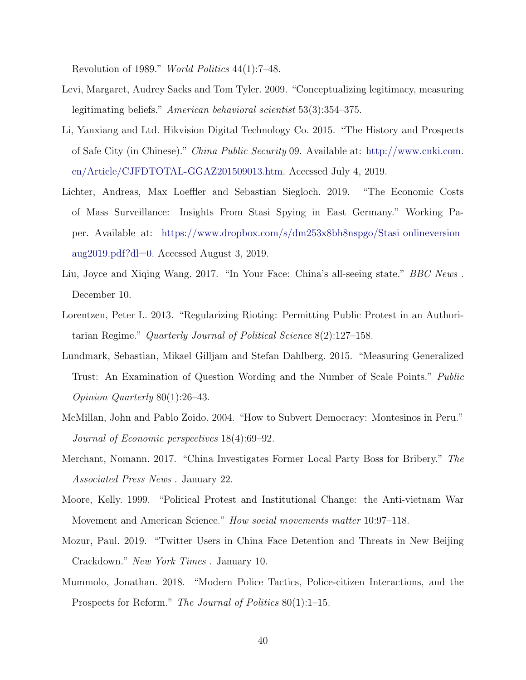Revolution of 1989." World Politics 44(1):7–48.

- <span id="page-40-6"></span>Levi, Margaret, Audrey Sacks and Tom Tyler. 2009. "Conceptualizing legitimacy, measuring legitimating beliefs." American behavioral scientist 53(3):354–375.
- <span id="page-40-9"></span>Li, Yanxiang and Ltd. Hikvision Digital Technology Co. 2015. "The History and Prospects of Safe City (in Chinese)." China Public Security 09. Available at: [http://www.cnki.com.](http://www.cnki.com.cn/Article/CJFDTOTAL-GGAZ201509013.htm) [cn/Article/CJFDTOTAL-GGAZ201509013.htm.](http://www.cnki.com.cn/Article/CJFDTOTAL-GGAZ201509013.htm) Accessed July 4, 2019.
- <span id="page-40-2"></span>Lichter, Andreas, Max Loeffler and Sebastian Siegloch. 2019. "The Economic Costs of Mass Surveillance: Insights From Stasi Spying in East Germany." Working Paper. Available at: [https://www.dropbox.com/s/dm253x8bh8nspgo/Stasi](https://www.dropbox.com/s/dm253x8bh8nspgo/Stasi_onlineversion_aug2019.pdf?dl=0) onlineversion [aug2019.pdf?dl=0.](https://www.dropbox.com/s/dm253x8bh8nspgo/Stasi_onlineversion_aug2019.pdf?dl=0) Accessed August 3, 2019.
- <span id="page-40-0"></span>Liu, Joyce and Xiqing Wang. 2017. "In Your Face: China's all-seeing state." *BBC News*. December 10.
- <span id="page-40-5"></span>Lorentzen, Peter L. 2013. "Regularizing Rioting: Permitting Public Protest in an Authoritarian Regime." Quarterly Journal of Political Science 8(2):127–158.
- <span id="page-40-7"></span>Lundmark, Sebastian, Mikael Gilljam and Stefan Dahlberg. 2015. "Measuring Generalized Trust: An Examination of Question Wording and the Number of Scale Points." Public Opinion Quarterly 80(1):26–43.
- <span id="page-40-3"></span>McMillan, John and Pablo Zoido. 2004. "How to Subvert Democracy: Montesinos in Peru." Journal of Economic perspectives 18(4):69–92.
- <span id="page-40-1"></span>Merchant, Nomann. 2017. "China Investigates Former Local Party Boss for Bribery." The Associated Press News . January 22.
- <span id="page-40-4"></span>Moore, Kelly. 1999. "Political Protest and Institutional Change: the Anti-vietnam War Movement and American Science." How social movements matter 10:97–118.
- <span id="page-40-10"></span>Mozur, Paul. 2019. "Twitter Users in China Face Detention and Threats in New Beijing Crackdown." New York Times . January 10.
- <span id="page-40-8"></span>Mummolo, Jonathan. 2018. "Modern Police Tactics, Police-citizen Interactions, and the Prospects for Reform." The Journal of Politics 80(1):1–15.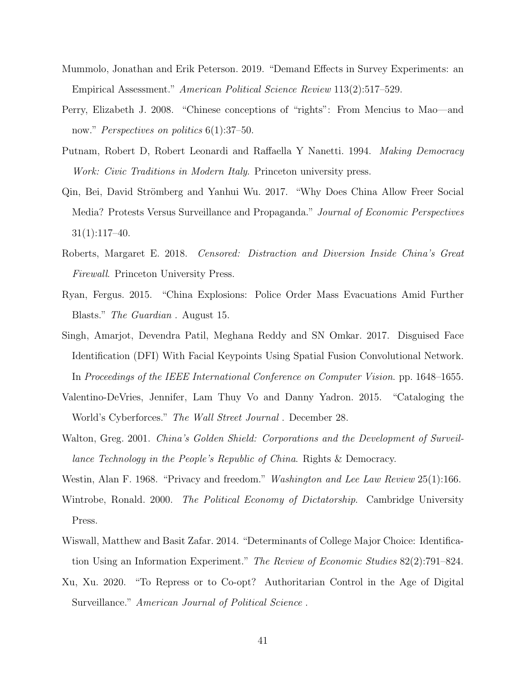- <span id="page-41-10"></span>Mummolo, Jonathan and Erik Peterson. 2019. "Demand Effects in Survey Experiments: an Empirical Assessment." American Political Science Review 113(2):517–529.
- <span id="page-41-9"></span>Perry, Elizabeth J. 2008. "Chinese conceptions of "rights": From Mencius to Mao—and now." *Perspectives on politics* 6(1):37–50.
- <span id="page-41-4"></span>Putnam, Robert D, Robert Leonardi and Raffaella Y Nanetti. 1994. Making Democracy Work: Civic Traditions in Modern Italy. Princeton university press.
- <span id="page-41-1"></span>Qin, Bei, David Strömberg and Yanhui Wu. 2017. "Why Does China Allow Freer Social Media? Protests Versus Surveillance and Propaganda." Journal of Economic Perspectives 31(1):117–40.
- <span id="page-41-2"></span>Roberts, Margaret E. 2018. Censored: Distraction and Diversion Inside China's Great Firewall. Princeton University Press.
- <span id="page-41-11"></span>Ryan, Fergus. 2015. "China Explosions: Police Order Mass Evacuations Amid Further Blasts." The Guardian . August 15.
- <span id="page-41-6"></span>Singh, Amarjot, Devendra Patil, Meghana Reddy and SN Omkar. 2017. Disguised Face Identification (DFI) With Facial Keypoints Using Spatial Fusion Convolutional Network. In Proceedings of the IEEE International Conference on Computer Vision. pp. 1648–1655.
- <span id="page-41-0"></span>Valentino-DeVries, Jennifer, Lam Thuy Vo and Danny Yadron. 2015. "Cataloging the World's Cyberforces." The Wall Street Journal . December 28.
- <span id="page-41-12"></span>Walton, Greg. 2001. China's Golden Shield: Corporations and the Development of Surveillance Technology in the People's Republic of China. Rights & Democracy.
- <span id="page-41-7"></span><span id="page-41-5"></span>Westin, Alan F. 1968. "Privacy and freedom." Washington and Lee Law Review 25(1):166.
- Wintrobe, Ronald. 2000. The Political Economy of Dictatorship. Cambridge University Press.
- <span id="page-41-8"></span>Wiswall, Matthew and Basit Zafar. 2014. "Determinants of College Major Choice: Identification Using an Information Experiment." The Review of Economic Studies 82(2):791–824.
- <span id="page-41-3"></span>Xu, Xu. 2020. "To Repress or to Co-opt? Authoritarian Control in the Age of Digital Surveillance." American Journal of Political Science.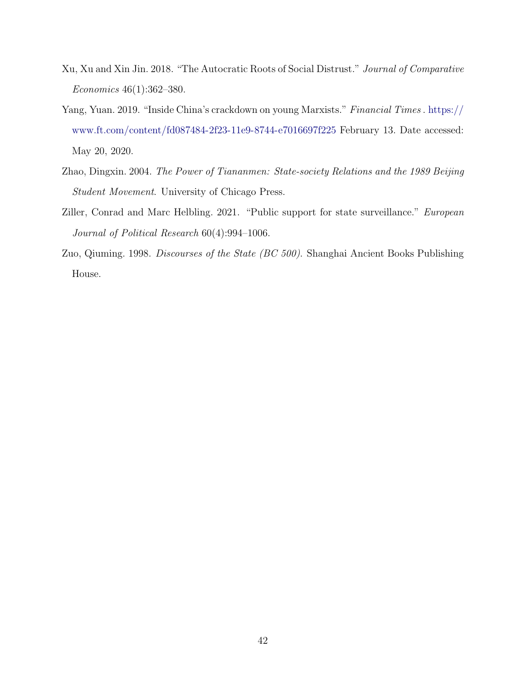- <span id="page-42-1"></span>Xu, Xu and Xin Jin. 2018. "The Autocratic Roots of Social Distrust." Journal of Comparative Economics 46(1):362–380.
- <span id="page-42-4"></span>Yang, Yuan. 2019. "Inside China's crackdown on young Marxists." Financial Times . [https://](https://www.ft.com/content/fd087484-2f23-11e9-8744-e7016697f225) [www.ft.com/content/fd087484-2f23-11e9-8744-e7016697f225](https://www.ft.com/content/fd087484-2f23-11e9-8744-e7016697f225) February 13. Date accessed: May 20, 2020.
- <span id="page-42-3"></span>Zhao, Dingxin. 2004. The Power of Tiananmen: State-society Relations and the 1989 Beijing Student Movement. University of Chicago Press.
- <span id="page-42-0"></span>Ziller, Conrad and Marc Helbling. 2021. "Public support for state surveillance." European Journal of Political Research 60(4):994–1006.
- <span id="page-42-2"></span>Zuo, Qiuming. 1998. Discourses of the State (BC 500). Shanghai Ancient Books Publishing House.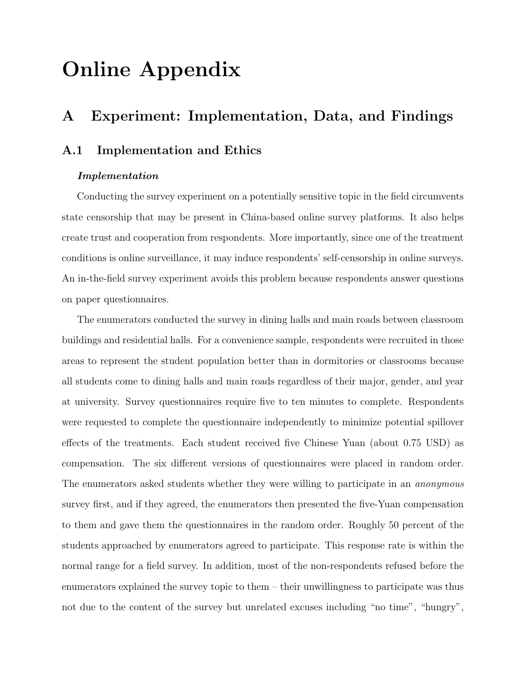# Online Appendix

# A Experiment: Implementation, Data, and Findings

## A.1 Implementation and Ethics

### Implementation

Conducting the survey experiment on a potentially sensitive topic in the field circumvents state censorship that may be present in China-based online survey platforms. It also helps create trust and cooperation from respondents. More importantly, since one of the treatment conditions is online surveillance, it may induce respondents' self-censorship in online surveys. An in-the-field survey experiment avoids this problem because respondents answer questions on paper questionnaires.

The enumerators conducted the survey in dining halls and main roads between classroom buildings and residential halls. For a convenience sample, respondents were recruited in those areas to represent the student population better than in dormitories or classrooms because all students come to dining halls and main roads regardless of their major, gender, and year at university. Survey questionnaires require five to ten minutes to complete. Respondents were requested to complete the questionnaire independently to minimize potential spillover effects of the treatments. Each student received five Chinese Yuan (about 0.75 USD) as compensation. The six different versions of questionnaires were placed in random order. The enumerators asked students whether they were willing to participate in an *anonymous* survey first, and if they agreed, the enumerators then presented the five-Yuan compensation to them and gave them the questionnaires in the random order. Roughly 50 percent of the students approached by enumerators agreed to participate. This response rate is within the normal range for a field survey. In addition, most of the non-respondents refused before the enumerators explained the survey topic to them – their unwillingness to participate was thus not due to the content of the survey but unrelated excuses including "no time", "hungry",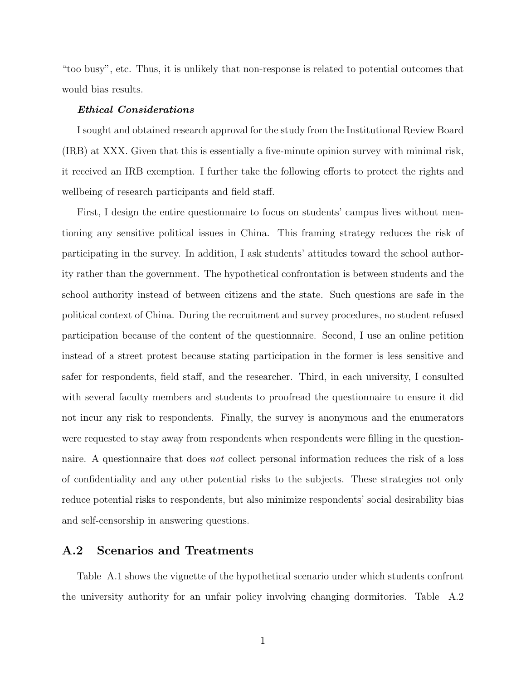"too busy", etc. Thus, it is unlikely that non-response is related to potential outcomes that would bias results.

#### Ethical Considerations

I sought and obtained research approval for the study from the Institutional Review Board (IRB) at XXX. Given that this is essentially a five-minute opinion survey with minimal risk, it received an IRB exemption. I further take the following efforts to protect the rights and wellbeing of research participants and field staff.

First, I design the entire questionnaire to focus on students' campus lives without mentioning any sensitive political issues in China. This framing strategy reduces the risk of participating in the survey. In addition, I ask students' attitudes toward the school authority rather than the government. The hypothetical confrontation is between students and the school authority instead of between citizens and the state. Such questions are safe in the political context of China. During the recruitment and survey procedures, no student refused participation because of the content of the questionnaire. Second, I use an online petition instead of a street protest because stating participation in the former is less sensitive and safer for respondents, field staff, and the researcher. Third, in each university, I consulted with several faculty members and students to proofread the questionnaire to ensure it did not incur any risk to respondents. Finally, the survey is anonymous and the enumerators were requested to stay away from respondents when respondents were filling in the questionnaire. A questionnaire that does not collect personal information reduces the risk of a loss of confidentiality and any other potential risks to the subjects. These strategies not only reduce potential risks to respondents, but also minimize respondents' social desirability bias and self-censorship in answering questions.

## A.2 Scenarios and Treatments

Table [A.1](#page-14-0) shows the vignette of the hypothetical scenario under which students confront the university authority for an unfair policy involving changing dormitories. Table A.2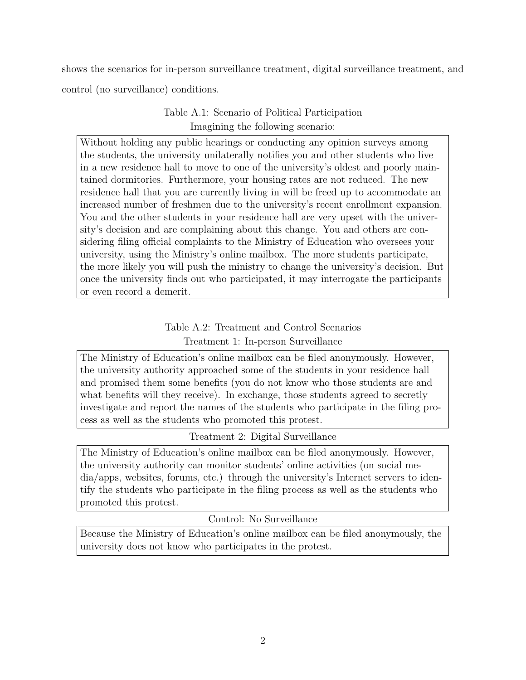shows the scenarios for in-person surveillance treatment, digital surveillance treatment, and control (no surveillance) conditions.

## Table A.1: Scenario of Political Participation Imagining the following scenario:

Without holding any public hearings or conducting any opinion surveys among the students, the university unilaterally notifies you and other students who live in a new residence hall to move to one of the university's oldest and poorly maintained dormitories. Furthermore, your housing rates are not reduced. The new residence hall that you are currently living in will be freed up to accommodate an increased number of freshmen due to the university's recent enrollment expansion. You and the other students in your residence hall are very upset with the university's decision and are complaining about this change. You and others are considering filing official complaints to the Ministry of Education who oversees your university, using the Ministry's online mailbox. The more students participate, the more likely you will push the ministry to change the university's decision. But once the university finds out who participated, it may interrogate the participants or even record a demerit.

## Table A.2: Treatment and Control Scenarios Treatment 1: In-person Surveillance

The Ministry of Education's online mailbox can be filed anonymously. However, the university authority approached some of the students in your residence hall and promised them some benefits (you do not know who those students are and what benefits will they receive). In exchange, those students agreed to secretly investigate and report the names of the students who participate in the filing process as well as the students who promoted this protest.

Treatment 2: Digital Surveillance

The Ministry of Education's online mailbox can be filed anonymously. However, the university authority can monitor students' online activities (on social media/apps, websites, forums, etc.) through the university's Internet servers to identify the students who participate in the filing process as well as the students who promoted this protest.

## Control: No Surveillance

Because the Ministry of Education's online mailbox can be filed anonymously, the university does not know who participates in the protest.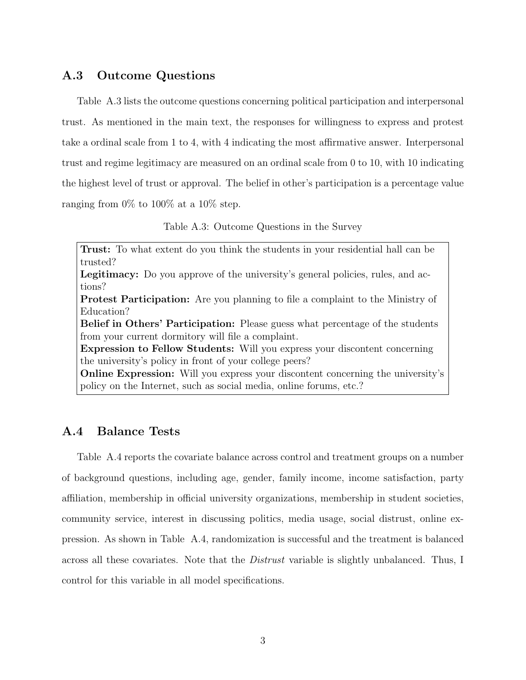## A.3 Outcome Questions

Table A.3 lists the outcome questions concerning political participation and interpersonal trust. As mentioned in the main text, the responses for willingness to express and protest take a ordinal scale from 1 to 4, with 4 indicating the most affirmative answer. Interpersonal trust and regime legitimacy are measured on an ordinal scale from 0 to 10, with 10 indicating the highest level of trust or approval. The belief in other's participation is a percentage value ranging from  $0\%$  to  $100\%$  at a  $10\%$  step.

Table A.3: Outcome Questions in the Survey

Trust: To what extent do you think the students in your residential hall can be trusted?

Legitimacy: Do you approve of the university's general policies, rules, and actions?

Protest Participation: Are you planning to file a complaint to the Ministry of Education?

Belief in Others' Participation: Please guess what percentage of the students from your current dormitory will file a complaint.

Expression to Fellow Students: Will you express your discontent concerning the university's policy in front of your college peers?

Online Expression: Will you express your discontent concerning the university's policy on the Internet, such as social media, online forums, etc.?

## A.4 Balance Tests

Table A.4 reports the covariate balance across control and treatment groups on a number of background questions, including age, gender, family income, income satisfaction, party affiliation, membership in official university organizations, membership in student societies, community service, interest in discussing politics, media usage, social distrust, online expression. As shown in Table A.4, randomization is successful and the treatment is balanced across all these covariates. Note that the Distrust variable is slightly unbalanced. Thus, I control for this variable in all model specifications.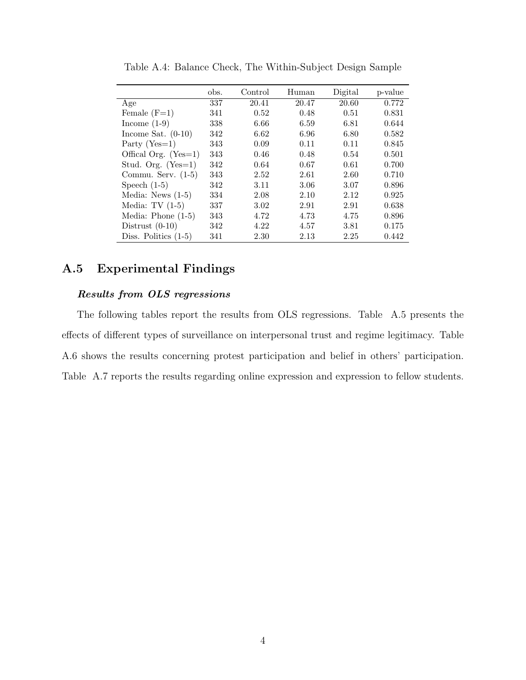|                        | obs. | Control | Human | Digital | p-value |
|------------------------|------|---------|-------|---------|---------|
| Age                    | 337  | 20.41   | 20.47 | 20.60   | 0.772   |
| Female $(F=1)$         | 341  | 0.52    | 0.48  | 0.51    | 0.831   |
| Income $(1-9)$         | 338  | 6.66    | 6.59  | 6.81    | 0.644   |
| Income Sat. $(0-10)$   | 342  | 6.62    | 6.96  | 6.80    | 0.582   |
| Party $(Yes=1)$        | 343  | 0.09    | 0.11  | 0.11    | 0.845   |
| Offical Org. $(Yes=1)$ | 343  | 0.46    | 0.48  | 0.54    | 0.501   |
| Stud. Org. $(Yes=1)$   | 342  | 0.64    | 0.67  | 0.61    | 0.700   |
| Commu. Serv. $(1-5)$   | 343  | 2.52    | 2.61  | 2.60    | 0.710   |
| Speech $(1-5)$         | 342  | 3.11    | 3.06  | 3.07    | 0.896   |
| Media: News $(1-5)$    | 334  | 2.08    | 2.10  | 2.12    | 0.925   |
| Media: $TV(1-5)$       | 337  | 3.02    | 2.91  | 2.91    | 0.638   |
| Media: Phone $(1-5)$   | 343  | 4.72    | 4.73  | 4.75    | 0.896   |
| Distrust $(0-10)$      | 342  | 4.22    | 4.57  | 3.81    | 0.175   |
| Diss. Politics $(1-5)$ | 341  | 2.30    | 2.13  | 2.25    | 0.442   |

Table A.4: Balance Check, The Within-Subject Design Sample

## A.5 Experimental Findings

### Results from OLS regressions

The following tables report the results from OLS regressions. Table A.5 presents the effects of different types of surveillance on interpersonal trust and regime legitimacy. Table A.6 shows the results concerning protest participation and belief in others' participation. Table A.7 reports the results regarding online expression and expression to fellow students.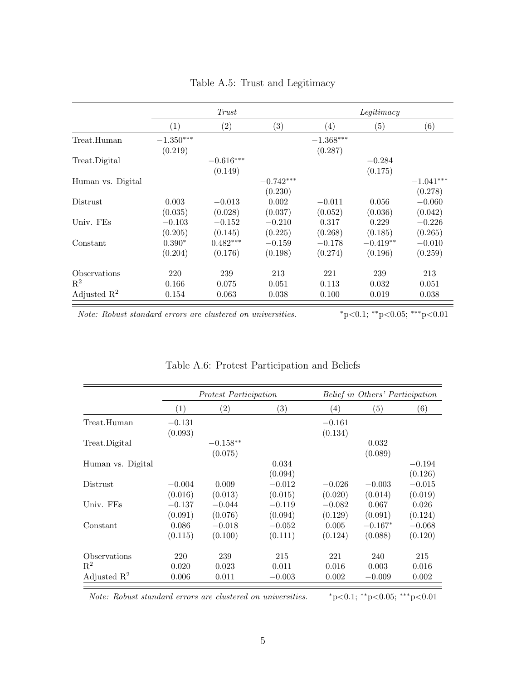|                         |                   | Trust       |                   |                   | Legitimacy        |                   |
|-------------------------|-------------------|-------------|-------------------|-------------------|-------------------|-------------------|
|                         | $\left( 1\right)$ | (2)         | $\left( 3\right)$ | $\left( 4\right)$ | $\left( 5\right)$ | $\left( 6\right)$ |
| Treat.Human             | $-1.350***$       |             |                   | $-1.368***$       |                   |                   |
|                         | (0.219)           |             |                   | (0.287)           |                   |                   |
| Treat.Digital           |                   | $-0.616***$ |                   |                   | $-0.284$          |                   |
|                         |                   | (0.149)     |                   |                   | (0.175)           |                   |
| Human vs. Digital       |                   |             | $-0.742***$       |                   |                   | $-1.041***$       |
|                         |                   |             | (0.230)           |                   |                   | (0.278)           |
| Distrust                | 0.003             | $-0.013$    | 0.002             | $-0.011$          | 0.056             | $-0.060$          |
|                         | (0.035)           | (0.028)     | (0.037)           | (0.052)           | (0.036)           | (0.042)           |
| Univ. FEs               | $-0.103$          | $-0.152$    | $-0.210$          | 0.317             | 0.229             | $-0.226$          |
|                         | (0.205)           | (0.145)     | (0.225)           | (0.268)           | (0.185)           | (0.265)           |
| Constant                | $0.390*$          | $0.482***$  | $-0.159$          | $-0.178$          | $-0.419**$        | $-0.010$          |
|                         | (0.204)           | (0.176)     | (0.198)           | (0.274)           | (0.196)           | (0.259)           |
| Observations            | 220               | 239         | 213               | 221               | 239               | 213               |
| $\mathbb{R}^2$          | 0.166             | 0.075       | 0.051             | 0.113             | 0.032             | 0.051             |
| Adjusted $\mathbb{R}^2$ | 0.154             | 0.063       | 0.038             | 0.100             | 0.019             | 0.038             |

Table A.5: Trust and Legitimacy

Note: Robust standard errors are clustered on universities.  $*p<0.1; **p<0.05; ***p<0.01$ 

|                         |                   | <i>Protest Participation</i> |                   |                   | Belief in Others' Participation |                   |  |  |
|-------------------------|-------------------|------------------------------|-------------------|-------------------|---------------------------------|-------------------|--|--|
|                         | $\left( 1\right)$ | $\left( 2\right)$            | $\left( 3\right)$ | $\left( 4\right)$ | (5)                             | $\left( 6\right)$ |  |  |
| Treat.Human             | $-0.131$          |                              |                   | $-0.161$          |                                 |                   |  |  |
|                         | (0.093)           |                              |                   | (0.134)           |                                 |                   |  |  |
| Treat.Digital           |                   | $-0.158**$                   |                   |                   | 0.032                           |                   |  |  |
|                         |                   | (0.075)                      |                   |                   | (0.089)                         |                   |  |  |
| Human vs. Digital       |                   |                              | 0.034             |                   |                                 | $-0.194$          |  |  |
|                         |                   |                              | (0.094)           |                   |                                 | (0.126)           |  |  |
| <b>Distrust</b>         | $-0.004$          | 0.009                        | $-0.012$          | $-0.026$          | $-0.003$                        | $-0.015$          |  |  |
|                         | (0.016)           | (0.013)                      | (0.015)           | (0.020)           | (0.014)                         | (0.019)           |  |  |
| Univ. FEs               | $-0.137$          | $-0.044$                     | $-0.119$          | $-0.082$          | 0.067                           | 0.026             |  |  |
|                         | (0.091)           | (0.076)                      | (0.094)           | (0.129)           | (0.091)                         | (0.124)           |  |  |
| Constant                | 0.086             | $-0.018$                     | $-0.052$          | 0.005             | $-0.167*$                       | $-0.068$          |  |  |
|                         | (0.115)           | (0.100)                      | (0.111)           | (0.124)           | (0.088)                         | (0.120)           |  |  |
| Observations            | 220               | 239                          | 215               | 221               | 240                             | 215               |  |  |
| $\mathbf{R}^2$          | 0.020             | 0.023                        | 0.011             | 0.016             | 0.003                           | 0.016             |  |  |
| Adjusted $\mathbb{R}^2$ | 0.006             | 0.011                        | $-0.003$          | 0.002             | $-0.009$                        | 0.002             |  |  |

## Table A.6: Protest Participation and Beliefs

Note: Robust standard errors are clustered on universities.  $*_{p<0.1;}$  \*\*p<0.05; \*\*\*p<0.01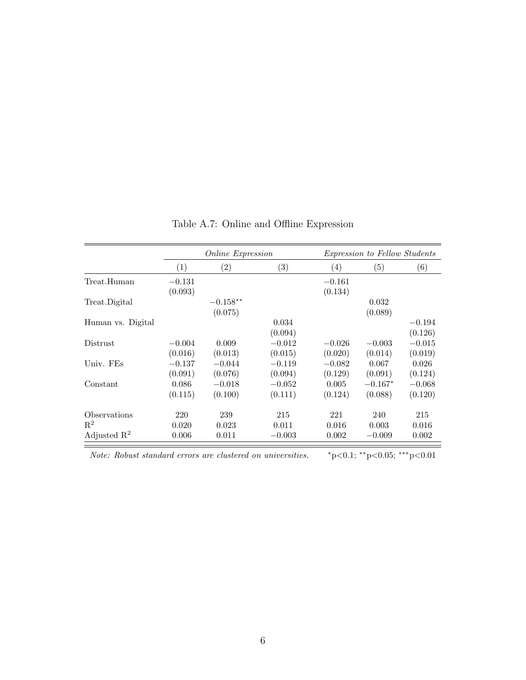|                         |          | <i>Online Expression</i> |                   |                  | <i>Expression to Fellow Students</i> |          |
|-------------------------|----------|--------------------------|-------------------|------------------|--------------------------------------|----------|
|                         | (1)      | $\left( 2\right)$        | $\left( 3\right)$ | $\left(4\right)$ | (5)                                  | (6)      |
| Treat.Human             | $-0.131$ |                          |                   | $-0.161$         |                                      |          |
|                         | (0.093)  |                          |                   | (0.134)          |                                      |          |
| Treat.Digital           |          | $-0.158**$               |                   |                  | 0.032                                |          |
|                         |          | (0.075)                  |                   |                  | (0.089)                              |          |
| Human vs. Digital       |          |                          | 0.034             |                  |                                      | $-0.194$ |
|                         |          |                          | (0.094)           |                  |                                      | (0.126)  |
| <b>Distrust</b>         | $-0.004$ | 0.009                    | $-0.012$          | $-0.026$         | $-0.003$                             | $-0.015$ |
|                         | (0.016)  | (0.013)                  | (0.015)           | (0.020)          | (0.014)                              | (0.019)  |
| Univ. FEs               | $-0.137$ | $-0.044$                 | $-0.119$          | $-0.082$         | 0.067                                | 0.026    |
|                         | (0.091)  | (0.076)                  | (0.094)           | (0.129)          | (0.091)                              | (0.124)  |
| Constant                | 0.086    | $-0.018$                 | $-0.052$          | 0.005            | $-0.167*$                            | $-0.068$ |
|                         | (0.115)  | (0.100)                  | (0.111)           | (0.124)          | (0.088)                              | (0.120)  |
| Observations            | 220      | 239                      | 215               | 221              | 240                                  | 215      |
| $\mathbf{R}^2$          | 0.020    | 0.023                    | 0.011             | 0.016            | 0.003                                | 0.016    |
| Adjusted $\mathbb{R}^2$ | 0.006    | 0.011                    | $-0.003$          | 0.002            | $-0.009$                             | 0.002    |

Table A.7: Online and Offline Expression

Note: Robust standard errors are clustered on universities.  $*p<0.1; **p<0.05; **p<0.01$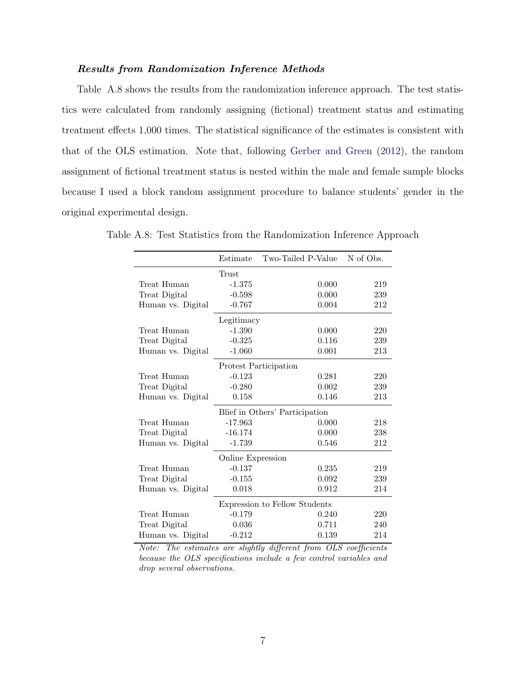### Results from Randomization Inference Methods

Table A.8 shows the results from the randomization inference approach. The test statistics were calculated from randomly assigning (fictional) treatment status and estimating treatment effects 1,000 times. The statistical significance of the estimates is consistent with that of the OLS estimation. Note that, following [Gerber and Green](#page-38-10) [\(2012\)](#page-38-10), the random assignment of fictional treatment status is nested within the male and female sample blocks because I used a block random assignment procedure to balance students' gender in the original experimental design.

|                   | Estimate                      | Two-Tailed P-Value             | N of Obs. |  |  |  |
|-------------------|-------------------------------|--------------------------------|-----------|--|--|--|
|                   | Trust                         |                                |           |  |  |  |
| Treat Human       | $-1.375$                      | 0.000                          | 219       |  |  |  |
| Treat Digital     | $-0.598$                      | 0.000                          | 239       |  |  |  |
| Human vs. Digital | $-0.767$                      | 0.004                          | 212       |  |  |  |
|                   | Legitimacy                    |                                |           |  |  |  |
| Treat Human       | $-1.390$                      | 0.000                          | 220       |  |  |  |
| Treat Digital     | $-0.325$                      | 0.116                          | 239       |  |  |  |
| Human vs. Digital | $-1.060$                      | 0.001                          | 213       |  |  |  |
|                   | Protest Participation         |                                |           |  |  |  |
| Treat Human       | $-0.123$                      | 0.281                          | 220       |  |  |  |
| Treat Digital     | $-0.280$                      | 0.002                          | 239       |  |  |  |
| Human vs. Digital | 0.158                         | 0.146                          | 213       |  |  |  |
|                   |                               | Blief in Others' Participation |           |  |  |  |
| Treat Human       | $-17.963$                     | 0.000                          | 218       |  |  |  |
| Treat Digital     | $-16.174$                     | 0.000                          | 238       |  |  |  |
| Human vs. Digital | $-1.739$                      | 0.546                          | 212       |  |  |  |
|                   | Online Expression             |                                |           |  |  |  |
| Treat Human       | $-0.137$                      | 0.235                          | 219       |  |  |  |
| Treat Digital     | $-0.155$                      | 0.092                          | 239       |  |  |  |
| Human vs. Digital | 0.018                         | 0.912                          | 214       |  |  |  |
|                   | Expression to Fellow Students |                                |           |  |  |  |
| Treat Human       | $-0.179$                      | 0.240                          | 220       |  |  |  |
| Treat Digital     | 0.036                         | 0.711                          | 240       |  |  |  |
| Human vs. Digital | $-0.212$                      | 0.139                          | 214       |  |  |  |

Table A.8: Test Statistics from the Randomization Inference Approach

Note: The estimates are slightly different from OLS coefficients because the OLS specifications include a few control variables and drop several observations.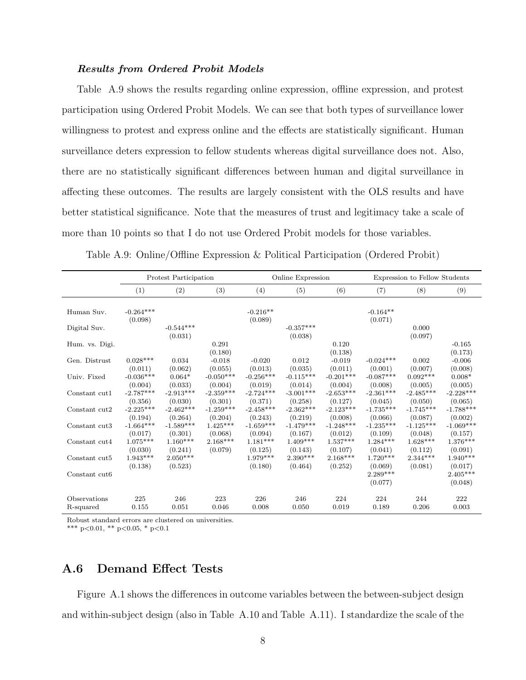### Results from Ordered Probit Models

Table A.9 shows the results regarding online expression, offline expression, and protest participation using Ordered Probit Models. We can see that both types of surveillance lower willingness to protest and express online and the effects are statistically significant. Human surveillance deters expression to fellow students whereas digital surveillance does not. Also, there are no statistically significant differences between human and digital surveillance in affecting these outcomes. The results are largely consistent with the OLS results and have better statistical significance. Note that the measures of trust and legitimacy take a scale of more than 10 points so that I do not use Ordered Probit models for those variables.

|                           |                            | Protest Participation  |                  |                       | Online Expression      |                       |                       | Expression to Fellow Students |                       |  |
|---------------------------|----------------------------|------------------------|------------------|-----------------------|------------------------|-----------------------|-----------------------|-------------------------------|-----------------------|--|
|                           | (1)                        | (2)                    | (3)              | (4)                   | (5)                    | (6)                   | (7)                   | (8)                           | (9)                   |  |
| Human Suv.                | $-0.264***$<br>(0.098)     |                        |                  | $-0.216**$<br>(0.089) |                        |                       | $-0.164**$<br>(0.071) |                               |                       |  |
| Digital Suv.              |                            | $-0.544***$<br>(0.031) |                  |                       | $-0.357***$<br>(0.038) |                       |                       | 0.000<br>(0.097)              |                       |  |
| Hum. vs. Digi.            |                            |                        | 0.291<br>(0.180) |                       |                        | 0.120<br>(0.138)      |                       |                               | $-0.165$<br>(0.173)   |  |
| Gen. Distrust             | $0.028***$                 | 0.034                  | $-0.018$         | $-0.020$              | 0.012                  | $-0.019$              | $-0.024***$           | 0.002                         | $-0.006$              |  |
|                           | (0.011)                    | (0.062)                | (0.055)          | (0.013)               | (0.035)                | (0.011)               | (0.001)               | (0.007)                       | (0.008)               |  |
| Univ. Fixed               | $-0.036***$                | $0.064*$               | $-0.050***$      | $-0.256***$           | $-0.115***$            | $-0.201***$           | $-0.087***$           | $0.092***$                    | $0.008*$              |  |
|                           | (0.004)                    | (0.033)                | (0.004)          | (0.019)               | (0.014)                | (0.004)               | (0.008)               | (0.005)                       | (0.005)               |  |
| Constant cut1             | $-2.787***$                | $-2.913***$            | $-2.359***$      | $-2.724***$           | $-3.001***$            | $-2.653***$           | $-2.361***$           | $-2.485***$                   | $-2.228***$           |  |
|                           | (0.356)                    | (0.030)                | (0.301)          | (0.371)               | (0.258)                | (0.127)               | (0.045)               | (0.050)                       | (0.065)               |  |
| Constant cut2             | $-2.225***$                | $-2.462***$            | $-1.259***$      | $-2.458***$           | $-2.362***$            | $-2.123***$           | $-1.735***$           | $-1.745***$                   | $-1.788***$           |  |
|                           | (0.194)                    | (0.264)                | (0.204)          | (0.243)               | (0.219)                | (0.008)               | (0.066)               | (0.087)                       | (0.002)               |  |
| Constant cut3             | $-1.664***$                | $-1.589***$            | $1.425***$       | $-1.659***$           | $-1.479***$            | $-1.248***$           | $-1.235***$           | $-1.125***$                   | $-1.069***$           |  |
|                           | (0.017)                    | (0.301)                | (0.068)          | (0.094)               | (0.167)                | (0.012)               | (0.109)               | (0.048)                       | (0.157)               |  |
| Constant cut4             | $1.075***$                 | $1.160***$             | $2.168***$       | $1.181***$            | $1.409***$             | $1.537***$            | $1.284***$            | $1.628***$                    | $1.376***$            |  |
|                           | (0.030)                    | (0.241)                | (0.079)          | (0.125)               | (0.143)                | (0.107)               | (0.041)               | (0.112)                       | (0.091)               |  |
| Constant cut5             | $1.943^{***}\;$<br>(0.138) | $2.050***$<br>(0.523)  |                  | $1.979***$<br>(0.180) | $2.390***$<br>(0.464)  | $2.168***$<br>(0.252) | $1.720***$<br>(0.069) | $2.344***$<br>(0.081)         | $1.940***$<br>(0.017) |  |
| Constant cut <sub>6</sub> |                            |                        |                  |                       |                        |                       | $2.289***$<br>(0.077) |                               | $2.405***$<br>(0.048) |  |
| Observations              | 225                        | 246                    | 223              | 226                   | 246                    | 224                   | 224                   | 244                           | 222                   |  |
| R-squared                 | 0.155                      | 0.051                  | 0.046            | 0.008                 | 0.050                  | 0.019                 | 0.189                 | 0.206                         | 0.003                 |  |

Table A.9: Online/Offline Expression & Political Participation (Ordered Probit)

Robust standard errors are clustered on universities.

\*\*\* p<0.01, \*\* p<0.05, \* p<0.1

## A.6 Demand Effect Tests

Figure [A.1](#page-33-0) shows the differences in outcome variables between the between-subject design and within-subject design (also in Table A.10 and Table A.11). I standardize the scale of the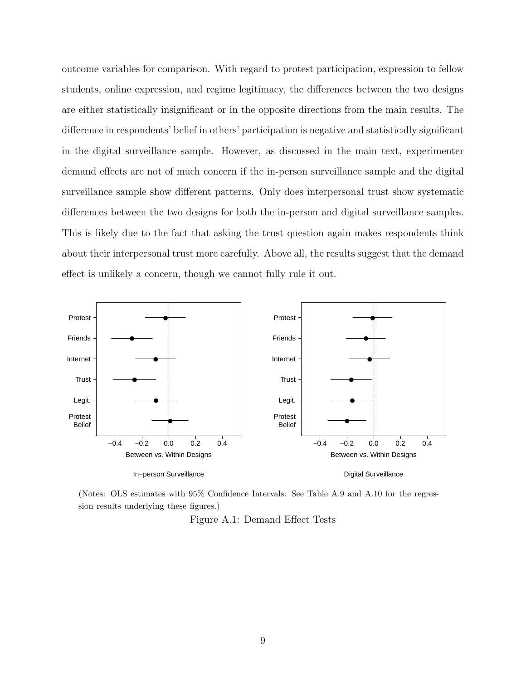outcome variables for comparison. With regard to protest participation, expression to fellow students, online expression, and regime legitimacy, the differences between the two designs are either statistically insignificant or in the opposite directions from the main results. The difference in respondents' belief in others' participation is negative and statistically significant in the digital surveillance sample. However, as discussed in the main text, experimenter demand effects are not of much concern if the in-person surveillance sample and the digital surveillance sample show different patterns. Only does interpersonal trust show systematic differences between the two designs for both the in-person and digital surveillance samples. This is likely due to the fact that asking the trust question again makes respondents think about their interpersonal trust more carefully. Above all, the results suggest that the demand effect is unlikely a concern, though we cannot fully rule it out.



(Notes: OLS estimates with 95% Confidence Intervals. See Table A.9 and A.10 for the regression results underlying these figures.)

Figure A.1: Demand Effect Tests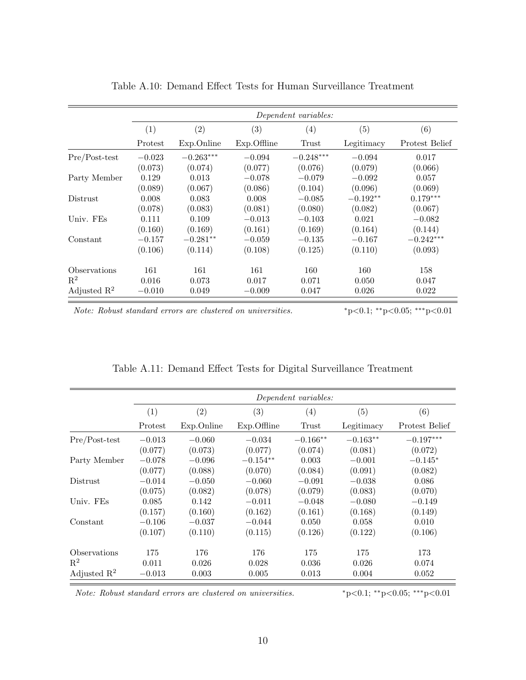|                         |          |                   |                | Dependent variables: |            |                |  |
|-------------------------|----------|-------------------|----------------|----------------------|------------|----------------|--|
|                         | (1)      | $\left( 2\right)$ | (3)            | $\left( 4\right)$    | (5)        | (6)            |  |
|                         | Protest  | Exp.Online        | $Exp.$ Offline | Trust                | Legitimacy | Protest Belief |  |
| $Pre/Post-test$         | $-0.023$ | $-0.263***$       | $-0.094$       | $-0.248***$          | $-0.094$   | 0.017          |  |
|                         | (0.073)  | (0.074)           | (0.077)        | (0.076)              | (0.079)    | (0.066)        |  |
| Party Member            | 0.129    | 0.013             | $-0.078$       | $-0.079$             | $-0.092$   | 0.057          |  |
|                         | (0.089)  | (0.067)           | (0.086)        | (0.104)              | (0.096)    | (0.069)        |  |
| Distrust                | 0.008    | 0.083             | 0.008          | $-0.085$             | $-0.192**$ | $0.179***$     |  |
|                         | (0.078)  | (0.083)           | (0.081)        | (0.080)              | (0.082)    | (0.067)        |  |
| Univ. FEs               | 0.111    | 0.109             | $-0.013$       | $-0.103$             | 0.021      | $-0.082$       |  |
|                         | (0.160)  | (0.169)           | (0.161)        | (0.169)              | (0.164)    | (0.144)        |  |
| Constant                | $-0.157$ | $-0.281**$        | $-0.059$       | $-0.135$             | $-0.167$   | $-0.242***$    |  |
|                         | (0.106)  | (0.114)           | (0.108)        | (0.125)              | (0.110)    | (0.093)        |  |
| Observations            | 161      | 161               | 161            | 160                  | 160        | 158            |  |
| $\mathbf{R}^2$          | 0.016    | 0.073             | 0.017          | 0.071                | 0.050      | 0.047          |  |
| Adjusted $\mathbb{R}^2$ | $-0.010$ | 0.049             | $-0.009$       | 0.047                | 0.026      | 0.022          |  |

| Table A.10: Demand Effect Tests for Human Surveillance Treatment |  |  |  |  |
|------------------------------------------------------------------|--|--|--|--|
|------------------------------------------------------------------|--|--|--|--|

Note: Robust standard errors are clustered on universities.  $*p<0.1; **p<0.05; **p<0.01$ 

|                         |          | Dependent variables: |             |            |            |                |  |  |  |
|-------------------------|----------|----------------------|-------------|------------|------------|----------------|--|--|--|
|                         | (1)      | (2)                  | (3)         | (4)        | (5)        | (6)            |  |  |  |
|                         | Protest  | Exp.Online           | Exp.Offline | Trust      | Legitimacy | Protest Belief |  |  |  |
| Pre/Post-test           | $-0.013$ | $-0.060$             | $-0.034$    | $-0.166**$ | $-0.163**$ | $-0.197***$    |  |  |  |
|                         | (0.077)  | (0.073)              | (0.077)     | (0.074)    | (0.081)    | (0.072)        |  |  |  |
| Party Member            | $-0.078$ | $-0.096$             | $-0.154**$  | 0.003      | $-0.001$   | $-0.145*$      |  |  |  |
|                         | (0.077)  | (0.088)              | (0.070)     | (0.084)    | (0.091)    | (0.082)        |  |  |  |
| <b>Distrust</b>         | $-0.014$ | $-0.050$             | $-0.060$    | $-0.091$   | $-0.038$   | 0.086          |  |  |  |
|                         | (0.075)  | (0.082)              | (0.078)     | (0.079)    | (0.083)    | (0.070)        |  |  |  |
| Univ. FEs               | 0.085    | 0.142                | $-0.011$    | $-0.048$   | $-0.080$   | $-0.149$       |  |  |  |
|                         | (0.157)  | (0.160)              | (0.162)     | (0.161)    | (0.168)    | (0.149)        |  |  |  |
| Constant                | $-0.106$ | $-0.037$             | $-0.044$    | 0.050      | 0.058      | 0.010          |  |  |  |
|                         | (0.107)  | (0.110)              | (0.115)     | (0.126)    | (0.122)    | (0.106)        |  |  |  |
| Observations            | 175      | 176                  | 176         | 175        | 175        | 173            |  |  |  |
| $\mathbf{R}^2$          | 0.011    | 0.026                | 0.028       | 0.036      | 0.026      | 0.074          |  |  |  |
| Adjusted $\mathbb{R}^2$ | $-0.013$ | 0.003                | 0.005       | 0.013      | 0.004      | 0.052          |  |  |  |

Table A.11: Demand Effect Tests for Digital Surveillance Treatment

Note: Robust standard errors are clustered on universities.  $*_{p<0.1; **_{p<0.05; ***_{p<0.01}}$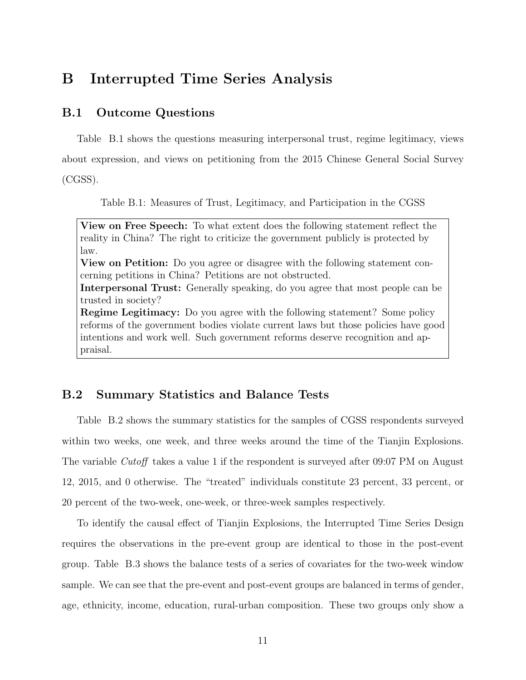# B Interrupted Time Series Analysis

## B.1 Outcome Questions

Table B.1 shows the questions measuring interpersonal trust, regime legitimacy, views about expression, and views on petitioning from the 2015 Chinese General Social Survey

(CGSS).

Table B.1: Measures of Trust, Legitimacy, and Participation in the CGSS

View on Free Speech: To what extent does the following statement reflect the reality in China? The right to criticize the government publicly is protected by law. View on Petition: Do you agree or disagree with the following statement concerning petitions in China? Petitions are not obstructed. Interpersonal Trust: Generally speaking, do you agree that most people can be trusted in society? Regime Legitimacy: Do you agree with the following statement? Some policy reforms of the government bodies violate current laws but those policies have good intentions and work well. Such government reforms deserve recognition and appraisal.

## B.2 Summary Statistics and Balance Tests

Table B.2 shows the summary statistics for the samples of CGSS respondents surveyed within two weeks, one week, and three weeks around the time of the Tianjin Explosions. The variable Cutoff takes a value 1 if the respondent is surveyed after 09:07 PM on August 12, 2015, and 0 otherwise. The "treated" individuals constitute 23 percent, 33 percent, or 20 percent of the two-week, one-week, or three-week samples respectively.

To identify the causal effect of Tianjin Explosions, the Interrupted Time Series Design requires the observations in the pre-event group are identical to those in the post-event group. Table B.3 shows the balance tests of a series of covariates for the two-week window sample. We can see that the pre-event and post-event groups are balanced in terms of gender, age, ethnicity, income, education, rural-urban composition. These two groups only show a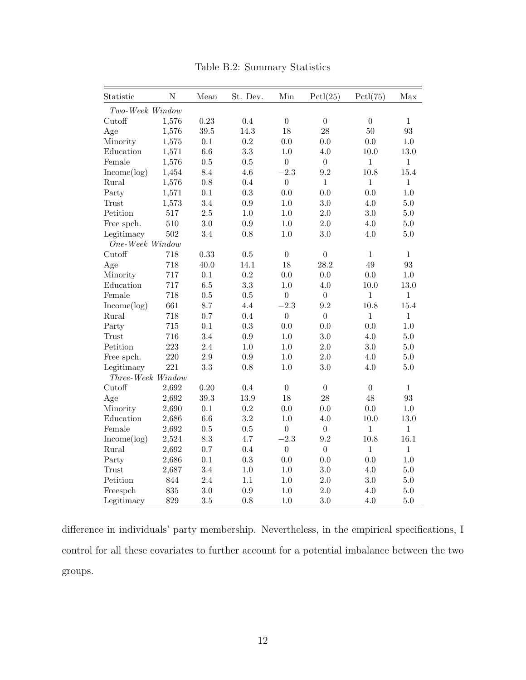| Statistic         | $\overline{N}$ | Mean    | St. Dev. | Min              | Pctl(25)         | Pctl(75)         | Max          |
|-------------------|----------------|---------|----------|------------------|------------------|------------------|--------------|
| Two-Week Window   |                |         |          |                  |                  |                  |              |
| Cutoff            | 1,576          | 0.23    | 0.4      | $\boldsymbol{0}$ | $\boldsymbol{0}$ | $\boldsymbol{0}$ | $\mathbf{1}$ |
| Age               | 1,576          | 39.5    | 14.3     | 18               | 28               | 50               | 93           |
| Minority          | 1,575          | 0.1     | 0.2      | 0.0              | 0.0              | 0.0              | 1.0          |
| Education         | 1,571          | 6.6     | 3.3      | 1.0              | 4.0              | 10.0             | 13.0         |
| Female            | 1,576          | 0.5     | 0.5      | $\boldsymbol{0}$ | $\overline{0}$   | $\mathbf{1}$     | $\mathbf{1}$ |
| Income(log)       | 1,454          | 8.4     | 4.6      | $-2.3$           | 9.2              | 10.8             | 15.4         |
| Rural             | 1,576          | 0.8     | 0.4      | $\boldsymbol{0}$ | $\mathbf{1}$     | $\mathbf{1}$     | $\mathbf{1}$ |
| Party             | 1,571          | 0.1     | 0.3      | 0.0              | 0.0              | 0.0              | 1.0          |
| Trust             | 1,573          | 3.4     | 0.9      | 1.0              | 3.0              | 4.0              | 5.0          |
| Petition          | 517            | $2.5\,$ | 1.0      | 1.0              | 2.0              | 3.0              | 5.0          |
| Free spch.        | 510            | 3.0     | 0.9      | 1.0              | 2.0              | 4.0              | 5.0          |
| Legitimacy        | 502            | 3.4     | 0.8      | 1.0              | 3.0              | 4.0              | 5.0          |
| One-Week Window   |                |         |          |                  |                  |                  |              |
| Cutoff            | 718            | 0.33    | 0.5      | $\boldsymbol{0}$ | $\boldsymbol{0}$ | $\mathbf{1}$     | $\mathbf{1}$ |
| Age               | 718            | 40.0    | 14.1     | 18               | 28.2             | 49               | 93           |
| Minority          | 717            | 0.1     | 0.2      | 0.0              | 0.0              | 0.0              | 1.0          |
| Education         | 717            | 6.5     | 3.3      | 1.0              | 4.0              | 10.0             | 13.0         |
| Female            | 718            | 0.5     | 0.5      | $\boldsymbol{0}$ | $\boldsymbol{0}$ | 1                | $\mathbf{1}$ |
| Income(log)       | 661            | 8.7     | 4.4      | $-2.3$           | 9.2              | 10.8             | 15.4         |
| Rural             | 718            | 0.7     | 0.4      | $\overline{0}$   | $\overline{0}$   | $\mathbf{1}$     | $\mathbf{1}$ |
| Party             | 715            | 0.1     | 0.3      | 0.0              | 0.0              | 0.0              | 1.0          |
| Trust             | 716            | 3.4     | 0.9      | 1.0              | 3.0              | 4.0              | 5.0          |
| Petition          | 223            | 2.4     | 1.0      | 1.0              | 2.0              | 3.0              | 5.0          |
| Free spch.        | 220            | $2.9\,$ | 0.9      | $1.0\,$          | 2.0              | 4.0              | 5.0          |
| Legitimacy        | 221            | 3.3     | 0.8      | 1.0              | 3.0              | 4.0              | 5.0          |
| Three-Week Window |                |         |          |                  |                  |                  |              |
| Cutoff            | 2,692          | 0.20    | 0.4      | $\overline{0}$   | $\theta$         | $\overline{0}$   | $\mathbf{1}$ |
| Age               | 2,692          | 39.3    | 13.9     | 18               | 28               | 48               | 93           |
| Minority          | 2,690          | 0.1     | 0.2      | 0.0              | 0.0              | 0.0              | 1.0          |
| Education         | 2,686          | 6.6     | 3.2      | $1.0\,$          | 4.0              | $10.0\,$         | 13.0         |
| Female            | 2,692          | 0.5     | 0.5      | $\overline{0}$   | $\overline{0}$   | $\mathbf{1}$     | $\mathbf{1}$ |
| Income(log)       | 2,524          | 8.3     | 4.7      | $-2.3$           | 9.2              | 10.8             | 16.1         |
| Rural             | 2,692          | 0.7     | 0.4      | $\boldsymbol{0}$ | $\boldsymbol{0}$ | $\mathbf{1}$     | $\mathbf{1}$ |
| Party             | 2,686          | 0.1     | 0.3      | 0.0              | 0.0              | 0.0              | 1.0          |
| Trust             | 2,687          | 3.4     | 1.0      | 1.0              | 3.0              | 4.0              | 5.0          |
| Petition          | 844            | 2.4     | 1.1      | $1.0\,$          | 2.0              | 3.0              | 5.0          |
| Freespch          | 835            | 3.0     | 0.9      | 1.0              | 2.0              | 4.0              | 5.0          |
| Legitimacy        | 829            | 3.5     | 0.8      | 1.0              | 3.0              | 4.0              | 5.0          |

Table B.2: Summary Statistics

difference in individuals' party membership. Nevertheless, in the empirical specifications, I control for all these covariates to further account for a potential imbalance between the two groups.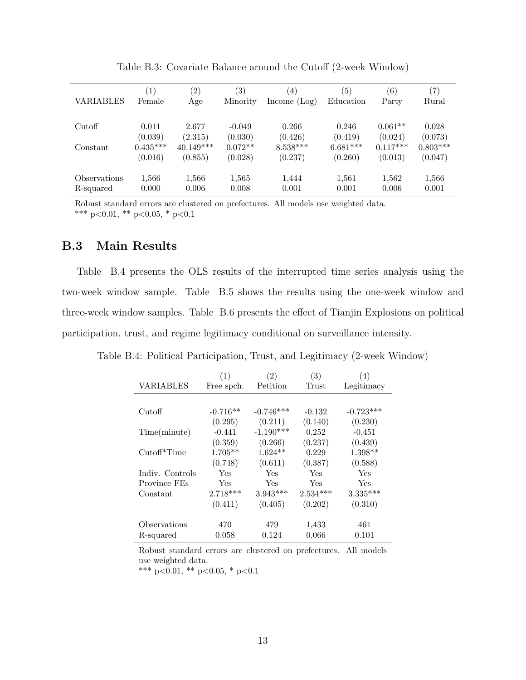| <b>VARIABLES</b> | $\left(1\right)$<br>Female | $\left( 2\right)$<br>Age | $\left( 3\right)$<br>Minority | (4)<br>Income $(Log)$ | (5)<br>Education | (6)<br>Party | $\left( 7\right)$<br>Rural |
|------------------|----------------------------|--------------------------|-------------------------------|-----------------------|------------------|--------------|----------------------------|
|                  |                            |                          |                               |                       |                  |              |                            |
| Cutoff           | 0.011                      | 2.677                    | $-0.049$                      | 0.266                 | 0.246            | $0.061**$    | 0.028                      |
|                  | (0.039)                    | (2.315)                  | (0.030)                       | (0.426)               | (0.419)          | (0.024)      | (0.073)                    |
| Constant         | $0.435***$                 | $40.149***$              | $0.072**$                     | $8.538***$            | $6.681***$       | $0.117***$   | $0.803***$                 |
|                  | (0.016)                    | (0.855)                  | (0.028)                       | (0.237)               | (0.260)          | (0.013)      | (0.047)                    |
| Observations     | 1,566                      | 1,566                    | 1,565                         | 1,444                 | 1,561            | 1,562        | 1,566                      |
| R-squared        | 0.000                      | 0.006                    | 0.008                         | 0.001                 | 0.001            | 0.006        | 0.001                      |
|                  |                            |                          |                               |                       |                  |              |                            |

Table B.3: Covariate Balance around the Cutoff (2-week Window)

Robust standard errors are clustered on prefectures. All models use weighted data. \*\*\* p<0.01, \*\* p<0.05, \* p<0.1

## B.3 Main Results

Table B.4 presents the OLS results of the interrupted time series analysis using the two-week window sample. Table B.5 shows the results using the one-week window and three-week window samples. Table B.6 presents the effect of Tianjin Explosions on political participation, trust, and regime legitimacy conditional on surveillance intensity.

Table B.4: Political Participation, Trust, and Legitimacy (2-week Window)

|                 | (1)        | $\left( 2\right)$ | (3)        | $\left(4\right)$ |
|-----------------|------------|-------------------|------------|------------------|
| VARIABLES       | Free spch. | Petition          | Trust      | Legitimacy       |
|                 |            |                   |            |                  |
| Cutoff          | $-0.716**$ | $-0.746***$       | $-0.132$   | $-0.723***$      |
|                 | (0.295)    | (0.211)           | (0.140)    | (0.230)          |
| Time(minute)    | $-0.441$   | $-1.190***$       | 0.252      | $-0.451$         |
|                 | (0.359)    | (0.266)           | (0.237)    | (0.439)          |
| $Cutoff*Time$   | $1.705**$  | $1.624**$         | 0.229      | $1.398**$        |
|                 | (0.748)    | (0.611)           | (0.387)    | (0.588)          |
| Indiv. Controls | Yes        | Yes               | Yes        | Yes              |
| Province FEs    | Yes        | Yes               | Yes        | Yes              |
| Constant        | $2.718***$ | $3.943***$        | $2.534***$ | $3.335***$       |
|                 | (0.411)    | (0.405)           | (0.202)    | (0.310)          |
| Observations    | 470        | 479               | 1,433      | 461              |
| R-squared       | 0.058      | 0.124             | 0.066      | 0.101            |

Robust standard errors are clustered on prefectures. All models use weighted data.

\*\*\* p<0.01, \*\* p<0.05, \* p<0.1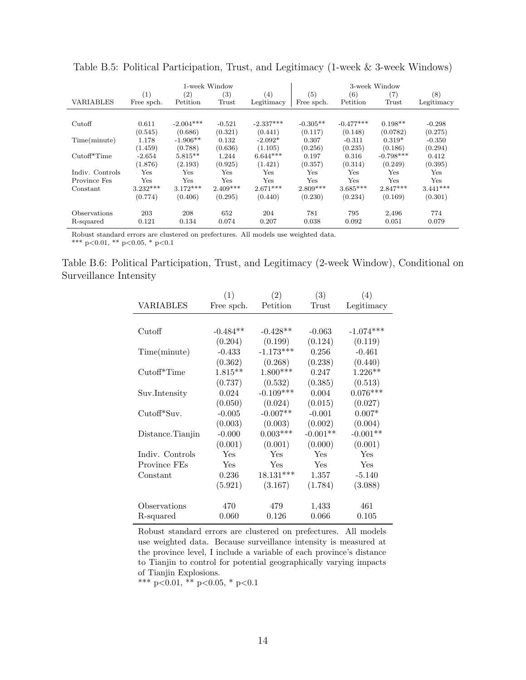|                  | 1-week Window |             |            |             | 3-week Window |             |             |            |
|------------------|---------------|-------------|------------|-------------|---------------|-------------|-------------|------------|
|                  | (1)           | (2)         | (3)        | (4)         | (5)           | (6)         | (7)         | (8)        |
| <b>VARIABLES</b> | Free spch.    | Petition    | Trust      | Legitimacy  | Free spch.    | Petition    | Trust       | Legitimacy |
|                  |               |             |            |             |               |             |             |            |
| Cutoff           | 0.611         | $-2.004***$ | $-0.521$   | $-2.337***$ | $-0.305**$    | $-0.477***$ | $0.198**$   | $-0.298$   |
|                  | (0.545)       | (0.686)     | (0.321)    | (0.441)     | (0.117)       | (0.148)     | (0.0782)    | (0.275)    |
| Time(minute)     | 1.178         | $-1.906**$  | 0.132      | $-2.092*$   | 0.307         | $-0.311$    | $0.319*$    | $-0.350$   |
|                  | (1.459)       | (0.788)     | (0.636)    | (1.105)     | (0.256)       | (0.235)     | (0.186)     | (0.294)    |
| $Cutoff*Time$    | $-2.654$      | $5.815**$   | 1.244      | $6.644***$  | 0.197         | 0.316       | $-0.798***$ | 0.412      |
|                  | (1.876)       | (2.193)     | (0.925)    | (1.421)     | (0.357)       | (0.314)     | (0.249)     | (0.395)    |
| Indiv. Controls  | $_{\rm Yes}$  | Yes         | Yes        | Yes         | Yes           | Yes         | Yes         | Yes        |
| Province Fes     | $_{\rm Yes}$  | Yes         | <b>Yes</b> | Yes         | Yes           | Yes         | Yes         | Yes        |
| Constant         | $3.232***$    | $3.172***$  | $2.409***$ | $2.671***$  | $2.809***$    | $3.685***$  | $2.847***$  | $3.441***$ |
|                  | (0.774)       | (0.406)     | (0.295)    | (0.440)     | (0.230)       | (0.234)     | (0.169)     | (0.301)    |
| Observations     | 203           | 208         | 652        | 204         | 781           | 795         | 2,496       | 774        |
| R-squared        | 0.121         | 0.134       | 0.074      | 0.207       | 0.038         | 0.092       | 0.051       | 0.079      |

Table B.5: Political Participation, Trust, and Legitimacy (1-week & 3-week Windows)

Robust standard errors are clustered on prefectures. All models use weighted data.

\*\*\* p<0.01, \*\* p<0.05, \* p<0.1

Table B.6: Political Participation, Trust, and Legitimacy (2-week Window), Conditional on Surveillance Intensity

|                   | (1)        | (2)         | (3)        | (4)         |
|-------------------|------------|-------------|------------|-------------|
| VARIABLES         | Free spch. | Petition    | Trust      | Legitimacy  |
|                   |            |             |            |             |
| Cutoff            | $-0.484**$ | $-0.428**$  | $-0.063$   | $-1.074***$ |
|                   | (0.204)    | (0.199)     | (0.124)    | (0.119)     |
| Time(minute)      | $-0.433$   | $-1.173***$ | 0.256      | $-0.461$    |
|                   | (0.362)    | (0.268)     | (0.238)    | (0.440)     |
| $Cutoff^*Time$    | $1.815**$  | $1.800***$  | 0.247      | $1.226**$   |
|                   | (0.737)    | (0.532)     | (0.385)    | (0.513)     |
| Suv.Intensity     | 0.024      | $-0.109***$ | 0.004      | $0.076***$  |
|                   | (0.050)    | (0.024)     | (0.015)    | (0.027)     |
| Cutoff*Suv.       | $-0.005$   | $-0.007**$  | $-0.001$   | $0.007*$    |
|                   | (0.003)    | (0.003)     | (0.002)    | (0.004)     |
| Distance. Tianjin | $-0.000$   | $0.003***$  | $-0.001**$ | $-0.001**$  |
|                   | (0.001)    | (0.001)     | (0.000)    | (0.001)     |
| Indiv. Controls   | Yes        | Yes         | Yes        | Yes         |
| Province FEs      | Yes        | Yes         | Yes        | Yes         |
| Constant          | 0.236      | $18.131***$ | 1.357      | $-5.140$    |
|                   | (5.921)    | (3.167)     | (1.784)    | (3.088)     |
| Observations      | 470        | 479         | 1,433      | 461         |
| R-squared         | 0.060      | 0.126       | 0.066      | 0.105       |

Robust standard errors are clustered on prefectures. All models use weighted data. Because surveillance intensity is measured at the province level, I include a variable of each province's distance to Tianjin to control for potential geographically varying impacts of Tianjin Explosions.

\*\*\* p<0.01, \*\* p<0.05, \* p<0.1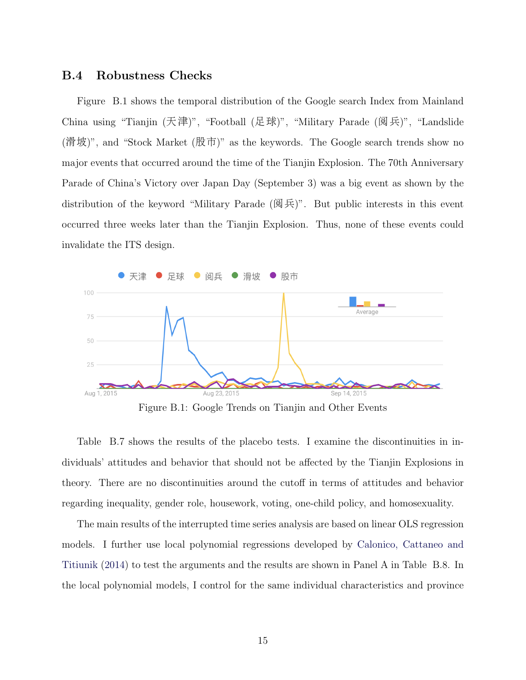## B.4 Robustness Checks

Figure B.1 shows the temporal distribution of the Google search Index from Mainland China using "Tianjin (天津)", "Football (足球)", "Military Parade (阅兵)", "Landslide (滑坡)", and "Stock Market (股市)" as the keywords. The Google search trends show no major events that occurred around the time of the Tianjin Explosion. The 70th Anniversary Parade of China's Victory over Japan Day (September 3) was a big event as shown by the distribution of the keyword "Military Parade (阅兵)". But public interests in this event occurred three weeks later than the Tianjin Explosion. Thus, none of these events could invalidate the ITS design.



Figure B.1: Google Trends on Tianjin and Other Events

Table B.7 shows the results of the placebo tests. I examine the discontinuities in individuals' attitudes and behavior that should not be affected by the Tianjin Explosions in theory. There are no discontinuities around the cutoff in terms of attitudes and behavior regarding inequality, gender role, housework, voting, one-child policy, and homosexuality.

The main results of the interrupted time series analysis are based on linear OLS regression models. I further use local polynomial regressions developed by [Calonico, Cattaneo and](#page-37-11) [Titiunik](#page-37-11) [\(2014\)](#page-37-11) to test the arguments and the results are shown in Panel A in Table B.8. In the local polynomial models, I control for the same individual characteristics and province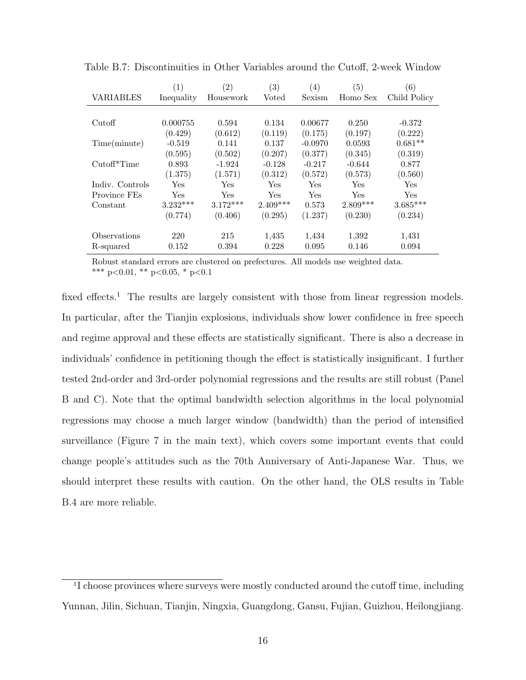|                  | $\left(1\right)$ | $\left( 2\right)$    | $\left( 3\right)$ | $\left(4\right)$ | (5)        | (6)          |
|------------------|------------------|----------------------|-------------------|------------------|------------|--------------|
| <b>VARIABLES</b> | Inequality       | Housework            | Voted             | Sexism           | Homo Sex   | Child Policy |
|                  |                  |                      |                   |                  |            |              |
| Cutoff           | 0.000755         | 0.594                | 0.134             | 0.00677          | 0.250      | $-0.372$     |
|                  | (0.429)          | (0.612)              | (0.119)           | (0.175)          | (0.197)    | (0.222)      |
| Time(minute)     | $-0.519$         | 0.141                | 0.137             | $-0.0970$        | 0.0593     | $0.681**$    |
|                  | (0.595)          | (0.502)              | (0.207)           | (0.377)          | (0.345)    | (0.319)      |
| Cutoff*Time      | 0.893            | $-1.924$             | $-0.128$          | $-0.217$         | $-0.644$   | 0.877        |
|                  | (1.375)          | (1.571)              | (0.312)           | (0.572)          | (0.573)    | (0.560)      |
| Indiv. Controls  | Yes              | $\operatorname{Yes}$ | Yes               | Yes              | Yes        | Yes.         |
| Province FEs     | Yes              | Yes                  | Yes               | Yes              | Yes        | Yes.         |
| Constant         | $3.232***$       | $3.172***$           | $2.409***$        | 0.573            | $2.809***$ | $3.685***$   |
|                  | (0.774)          | (0.406)              | (0.295)           | (1.237)          | (0.230)    | (0.234)      |
| Observations     | 220              | 215                  | 1,435             | 1,434            | 1,392      | 1,431        |
| R-squared        | 0.152            | 0.394                | 0.228             | 0.095            | 0.146      | 0.094        |

Table B.7: Discontinuities in Other Variables around the Cutoff, 2-week Window

Robust standard errors are clustered on prefectures. All models use weighted data. \*\*\* p<0.01, \*\* p<0.05, \* p<0.1

fixed effects.<sup>[1](#page-9-0)</sup> The results are largely consistent with those from linear regression models. In particular, after the Tianjin explosions, individuals show lower confidence in free speech and regime approval and these effects are statistically significant. There is also a decrease in individuals' confidence in petitioning though the effect is statistically insignificant. I further tested 2nd-order and 3rd-order polynomial regressions and the results are still robust (Panel B and C). Note that the optimal bandwidth selection algorithms in the local polynomial regressions may choose a much larger window (bandwidth) than the period of intensified surveillance (Figure 7 in the main text), which covers some important events that could change people's attitudes such as the 70th Anniversary of Anti-Japanese War. Thus, we should interpret these results with caution. On the other hand, the OLS results in Table B.4 are more reliable.

<sup>&</sup>lt;sup>1</sup>I choose provinces where surveys were mostly conducted around the cutoff time, including Yunnan, Jilin, Sichuan, Tianjin, Ningxia, Guangdong, Gansu, Fujian, Guizhou, Heilongjiang.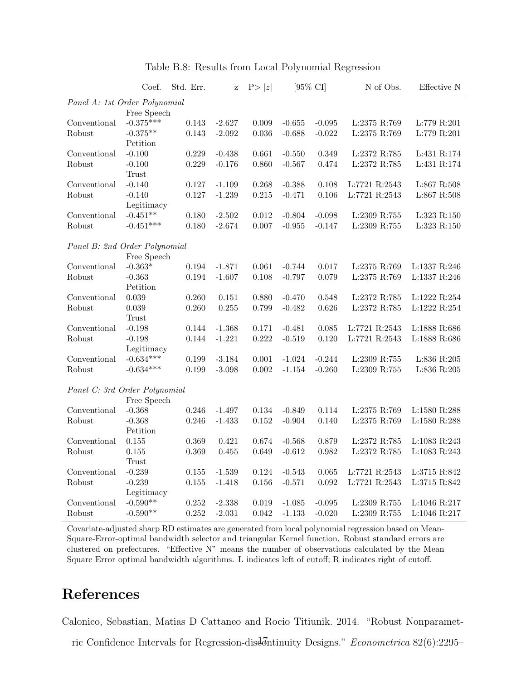|                               | Coef.                     | Std. Err. | z        | P> z        |          | $[95\% \text{ CI}]$ | N of Obs.             | Effective N     |
|-------------------------------|---------------------------|-----------|----------|-------------|----------|---------------------|-----------------------|-----------------|
| Panel A: 1st Order Polynomial |                           |           |          |             |          |                     |                       |                 |
|                               | Free Speech               |           |          |             |          |                     |                       |                 |
| Conventional                  | $-0.375***$               | 0.143     | $-2.627$ | 0.009       | $-0.655$ | $-0.095$            | L:2375 R:769          | L:779 R:201     |
| Robust                        | $-0.375**$                | 0.143     | $-2.092$ | 0.036       | $-0.688$ | $-0.022$            | L:2375 R:769          | L:779 R:201     |
|                               | Petition                  |           |          |             |          |                     |                       |                 |
| Conventional                  | $-0.100$                  | 0.229     | $-0.438$ | 0.661       | $-0.550$ | 0.349               | $\mbox{L:}2372$ R:785 | L:431 R:174     |
| Robust                        | $-0.100$                  | 0.229     | $-0.176$ | 0.860       | $-0.567$ | 0.474               | L:2372 R:785          | L:431 R:174     |
|                               | Trust                     |           |          |             |          |                     |                       |                 |
| Conventional                  | $-0.140$                  | 0.127     | $-1.109$ | 0.268       | $-0.388$ | 0.108               | L:7721 R:2543         | $L:867$ R:508   |
| Robust                        | $-0.140$                  | 0.127     | $-1.239$ | 0.215       | $-0.471$ | 0.106               | L:7721 R:2543         | $L:867$ R:508   |
|                               | Legitimacy                |           |          |             |          |                     |                       |                 |
| Conventional                  | $-0.451**$                | 0.180     | $-2.502$ | 0.012       | $-0.804$ | $-0.098$            | L:2309 R:755          | $L:323$ $R:150$ |
| Robust                        | $-0.451***$               | 0.180     | $-2.674$ | 0.007       | $-0.955$ | $-0.147$            | L:2309 R:755          | L:323 R:150     |
|                               |                           |           |          |             |          |                     |                       |                 |
| Panel B: 2nd Order Polynomial |                           |           |          |             |          |                     |                       |                 |
|                               | Free Speech               |           |          |             |          |                     |                       |                 |
| Conventional                  | $-0.363*$                 | 0.194     | $-1.871$ | 0.061       | $-0.744$ | 0.017               | L:2375 R:769          | $L:1337$ R:246  |
| Robust                        | $-0.363$                  | 0.194     | $-1.607$ | 0.108       | $-0.797$ | 0.079               | L:2375 R:769          | L:1337 R:246    |
|                               | Petition                  |           |          |             |          |                     |                       |                 |
| Conventional                  | 0.039                     | 0.260     | 0.151    | 0.880       | $-0.470$ | 0.548               | L:2372 R:785          | L:1222 R:254    |
| Robust                        | 0.039                     | 0.260     | 0.255    | 0.799       | $-0.482$ | 0.626               | L:2372 R:785          | L:1222 R:254    |
| Conventional                  | Trust                     |           | $-1.368$ |             |          |                     |                       |                 |
|                               | $-0.198$                  | 0.144     | $-1.221$ | 0.171       | $-0.481$ | 0.085               | L:7721 R:2543         | L:1888 R:686    |
| Robust                        | $-0.198$                  | 0.144     |          | 0.222       | $-0.519$ | 0.120               | L:7721 R:2543         | L:1888 R:686    |
|                               | Legitimacy<br>$-0.634***$ |           |          |             |          | $-0.244$            |                       | $L:836$ R:205   |
| Conventional                  | $-0.634***$               | 0.199     | $-3.184$ | 0.001       | $-1.024$ |                     | L:2309 R:755          |                 |
| Robust                        |                           | 0.199     | $-3.098$ | $0.002\,$   | $-1.154$ | $-0.260$            | $L:2309$ R:755        | $L:836$ $R:205$ |
| Panel C: 3rd Order Polynomial |                           |           |          |             |          |                     |                       |                 |
|                               | Free Speech               |           |          |             |          |                     |                       |                 |
| Conventional                  | $-0.368$                  | 0.246     | $-1.497$ | $0.134\,$   | $-0.849$ | 0.114               | $L:2375$ R:769        | L:1580 R:288    |
| Robust                        | $-0.368$                  | 0.246     | $-1.433$ | $\,0.152\,$ | $-0.904$ | 0.140               | L:2375 R:769          | L:1580 R:288    |
|                               | Petition                  |           |          |             |          |                     |                       |                 |
| Conventional                  | 0.155                     | 0.369     | 0.421    | 0.674       | $-0.568$ | 0.879               | L:2372 R:785          | L:1083 R:243    |
| Robust                        | 0.155                     | 0.369     | 0.455    | 0.649       | $-0.612$ | 0.982               | L:2372 R:785          | $L:1083$ R:243  |
|                               | Trust                     |           |          |             |          |                     |                       |                 |
| Conventional                  | $-0.239$                  | 0.155     | $-1.539$ | 0.124       | $-0.543$ | 0.065               | L:7721 R:2543         | L:3715 R:842    |
| Robust                        | $-0.239$                  | 0.155     | $-1.418$ | $0.156\,$   | $-0.571$ | 0.092               | L:7721 R:2543         | L:3715 R:842    |
|                               | Legitimacy                |           |          |             |          |                     |                       |                 |
| Conventional                  | $-0.590**$                | 0.252     | $-2.338$ | 0.019       | $-1.085$ | $-0.095$            | L:2309 R:755          | L:1046 R:217    |
| Robust                        | $-0.590**$                | $0.252\,$ | $-2.031$ | 0.042       | $-1.133$ | $-0.020$            | L:2309 R:755          | $L:1046$ R:217  |

Table B.8: Results from Local Polynomial Regression

Covariate-adjusted sharp RD estimates are generated from local polynomial regression based on Mean-Square-Error-optimal bandwidth selector and triangular Kernel function. Robust standard errors are clustered on prefectures. "Effective N" means the number of observations calculated by the Mean Square Error optimal bandwidth algorithms. L indicates left of cutoff; R indicates right of cutoff.

# References

Calonico, Sebastian, Matias D Cattaneo and Rocio Titiunik. 2014. "Robust Nonparamet-

ric Confidence Intervals for Regression-disdom inity Designs." Econometrica 82(6):2295–